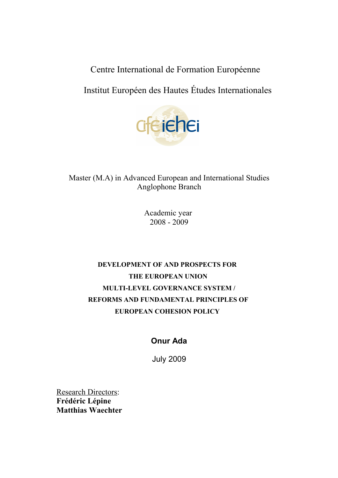Centre International de Formation Européenne

Institut Européen des Hautes Études Internationales



Master (M.A) in Advanced European and International Studies Anglophone Branch

> Academic year 2008 - 2009

# **DEVELOPMENT OF AND PROSPECTS FOR THE EUROPEAN UNION MULTI-LEVEL GOVERNANCE SYSTEM / REFORMS AND FUNDAMENTAL PRINCIPLES OF EUROPEAN COHESION POLICY**

# **Onur Ada**

July 2009

**Research Directors: Frédéric Lépine Matthias Waechter**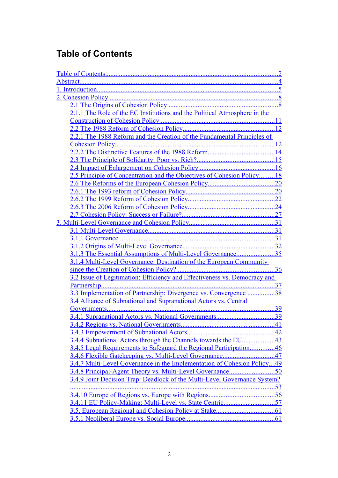# <span id="page-1-0"></span>**Table of Contents**

<span id="page-1-37"></span><span id="page-1-36"></span><span id="page-1-35"></span><span id="page-1-34"></span><span id="page-1-33"></span><span id="page-1-32"></span><span id="page-1-31"></span><span id="page-1-30"></span><span id="page-1-29"></span><span id="page-1-28"></span><span id="page-1-27"></span><span id="page-1-26"></span><span id="page-1-25"></span><span id="page-1-24"></span><span id="page-1-23"></span><span id="page-1-22"></span><span id="page-1-21"></span><span id="page-1-20"></span><span id="page-1-19"></span><span id="page-1-18"></span><span id="page-1-17"></span><span id="page-1-16"></span><span id="page-1-15"></span><span id="page-1-14"></span><span id="page-1-13"></span><span id="page-1-12"></span><span id="page-1-11"></span><span id="page-1-10"></span><span id="page-1-9"></span><span id="page-1-8"></span><span id="page-1-7"></span><span id="page-1-6"></span><span id="page-1-5"></span><span id="page-1-4"></span><span id="page-1-3"></span><span id="page-1-2"></span><span id="page-1-1"></span>

| 2.1.1 The Role of the EC Institutions and the Political Atmosphere in the |
|---------------------------------------------------------------------------|
|                                                                           |
|                                                                           |
| 2.2.1 The 1988 Reform and the Creation of the Fundamental Principles of   |
|                                                                           |
| 14                                                                        |
| 15                                                                        |
|                                                                           |
| 2.5 Principle of Concentration and the Objectives of Cohesion Policy18    |
|                                                                           |
|                                                                           |
|                                                                           |
|                                                                           |
|                                                                           |
|                                                                           |
|                                                                           |
|                                                                           |
|                                                                           |
| 3.1.3 The Essential Assumptions of Multi-Level Governance35               |
| 3.1.4 Multi-Level Governance: Destination of the European Community       |
| 3.2 Issue of Legitimation: Efficiency and Effectiveness vs. Democracy and |
|                                                                           |
| 3.3 Implementation of Partnership: Divergence vs. Convergence<br>.38      |
| 3.4 Alliance of Subnational and Supranational Actors vs. Central          |
|                                                                           |
| 39<br>3.4.1 Supranational Actors vs. National Governments                 |
|                                                                           |
|                                                                           |
|                                                                           |
| 3.4.5 Legal Requirements to Safeguard the Regional Participation46        |
|                                                                           |
| 3.4.7 Multi-Level Governance in the Implementation of Cohesion Policy49   |
|                                                                           |
| 3.4.9 Joint Decision Trap: Deadlock of the Multi-Level Governance System? |
|                                                                           |
|                                                                           |
|                                                                           |
|                                                                           |
|                                                                           |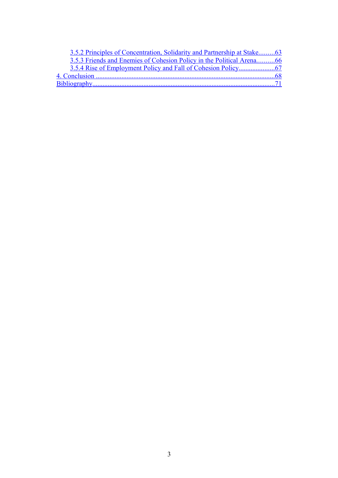<span id="page-2-3"></span><span id="page-2-2"></span><span id="page-2-1"></span><span id="page-2-0"></span>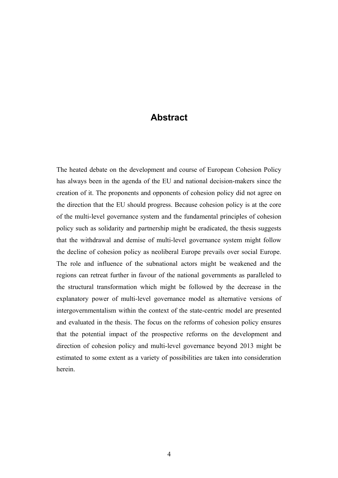# <span id="page-3-0"></span>**Abstract**

The heated debate on the development and course of European Cohesion Policy has always been in the agenda of the EU and national decision-makers since the creation of it. The proponents and opponents of cohesion policy did not agree on the direction that the EU should progress. Because cohesion policy is at the core of the multi-level governance system and the fundamental principles of cohesion policy such as solidarity and partnership might be eradicated, the thesis suggests that the withdrawal and demise of multi-level governance system might follow the decline of cohesion policy as neoliberal Europe prevails over social Europe. The role and influence of the subnational actors might be weakened and the regions can retreat further in favour of the national governments as paralleled to the structural transformation which might be followed by the decrease in the explanatory power of multi-level governance model as alternative versions of intergovernmentalism within the context of the state-centric model are presented and evaluated in the thesis. The focus on the reforms of cohesion policy ensures that the potential impact of the prospective reforms on the development and direction of cohesion policy and multi-level governance beyond 2013 might be estimated to some extent as a variety of possibilities are taken into consideration herein.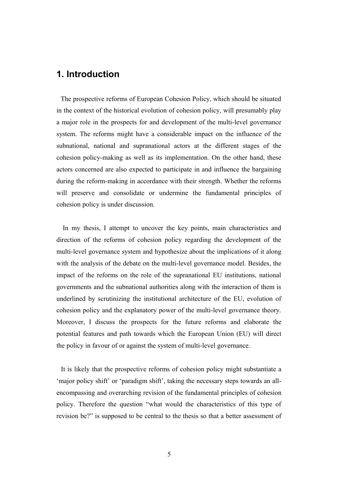## **1. Introduction**

The prospective reforms of European Cohesion Policy, which should be situated in the context of the historical evolution of cohesion policy, will presumably play a major role in the prospects for and development of the multi-level governance system. The reforms might have a considerable impact on the influence of the subnational, national and supranational actors at the different stages of the cohesion policy-making as well as its implementation. On the other hand, these actors concerned are also expected to participate in and influence the bargaining during the reform-making in accordance with their strength. Whether the reforms will preserve and consolidate or undermine the fundamental principles of cohesion policy is under discussion.

 In my thesis, I attempt to uncover the key points, main characteristics and direction of the reforms of cohesion policy regarding the development of the multi-level governance system and hypothesize about the implications of it along with the analysis of the debate on the multi-level governance model. Besides, the impact of the reforms on the role of the supranational EU institutions, national governments and the subnational authorities along with the interaction of them is underlined by scrutinizing the institutional architecture of the EU, evolution of cohesion policy and the explanatory power of the multi-level governance theory. Moreover, I discuss the prospects for the future reforms and elaborate the potential features and path towards which the European Union (EU) will direct the policy in favour of or against the system of multi-level governance.

 It is likely that the prospective reforms of cohesion policy might substantiate a 'major policy shift' or 'paradigm shift', taking the necessary steps towards an allencompassing and overarching revision of the fundamental principles of cohesion policy. Therefore the question "what would the characteristics of this type of revision be?" is supposed to be central to the thesis so that a better assessment of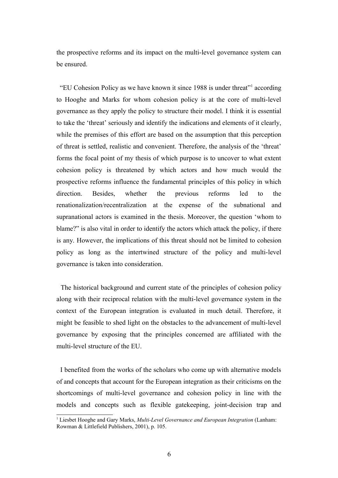the prospective reforms and its impact on the multi-level governance system can be ensured.

 "EU Cohesion Policy as we have known it since 1988 is under threat"[1](#page-5-0) according to Hooghe and Marks for whom cohesion policy is at the core of multi-level governance as they apply the policy to structure their model. I think it is essential to take the 'threat' seriously and identify the indications and elements of it clearly, while the premises of this effort are based on the assumption that this perception of threat is settled, realistic and convenient. Therefore, the analysis of the 'threat' forms the focal point of my thesis of which purpose is to uncover to what extent cohesion policy is threatened by which actors and how much would the prospective reforms influence the fundamental principles of this policy in which direction. Besides, whether the previous reforms led to the renationalization/recentralization at the expense of the subnational and supranational actors is examined in the thesis. Moreover, the question 'whom to blame?" is also vital in order to identify the actors which attack the policy, if there is any. However, the implications of this threat should not be limited to cohesion policy as long as the intertwined structure of the policy and multi-level governance is taken into consideration.

 The historical background and current state of the principles of cohesion policy along with their reciprocal relation with the multi-level governance system in the context of the European integration is evaluated in much detail. Therefore, it might be feasible to shed light on the obstacles to the advancement of multi-level governance by exposing that the principles concerned are affiliated with the multi-level structure of the EU.

 I benefited from the works of the scholars who come up with alternative models of and concepts that account for the European integration as their criticisms on the shortcomings of multi-level governance and cohesion policy in line with the models and concepts such as flexible gatekeeping, joint-decision trap and

<span id="page-5-0"></span><sup>1</sup> Liesbet Hooghe and Gary Marks, *Multi-Level Governance and European Integration* (Lanham: Rowman & Littlefield Publishers, 2001), p. 105.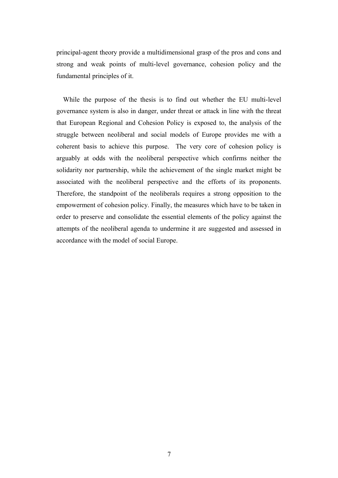principal-agent theory provide a multidimensional grasp of the pros and cons and strong and weak points of multi-level governance, cohesion policy and the fundamental principles of it.

 While the purpose of the thesis is to find out whether the EU multi-level governance system is also in danger, under threat or attack in line with the threat that European Regional and Cohesion Policy is exposed to, the analysis of the struggle between neoliberal and social models of Europe provides me with a coherent basis to achieve this purpose. The very core of cohesion policy is arguably at odds with the neoliberal perspective which confirms neither the solidarity nor partnership, while the achievement of the single market might be associated with the neoliberal perspective and the efforts of its proponents. Therefore, the standpoint of the neoliberals requires a strong opposition to the empowerment of cohesion policy. Finally, the measures which have to be taken in order to preserve and consolidate the essential elements of the policy against the attempts of the neoliberal agenda to undermine it are suggested and assessed in accordance with the model of social Europe.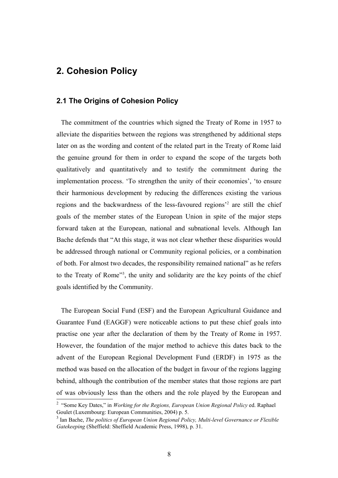# **2. Cohesion Policy**

### **2.1 The Origins of Cohesion Policy**

 The commitment of the countries which signed the Treaty of Rome in 1957 to alleviate the disparities between the regions was strengthened by additional steps later on as the wording and content of the related part in the Treaty of Rome laid the genuine ground for them in order to expand the scope of the targets both qualitatively and quantitatively and to testify the commitment during the implementation process. 'To strengthen the unity of their economies', 'to ensure their harmonious development by reducing the differences existing the various regions and the backwardness of the less-favoured regions'[2](#page-7-0) are still the chief goals of the member states of the European Union in spite of the major steps forward taken at the European, national and subnational levels. Although Ian Bache defends that "At this stage, it was not clear whether these disparities would be addressed through national or Community regional policies, or a combination of both. For almost two decades, the responsibility remained national" as he refers to the Treaty of Rome"<sup>[3](#page-7-1)</sup>, the unity and solidarity are the key points of the chief goals identified by the Community.

 The European Social Fund (ESF) and the European Agricultural Guidance and Guarantee Fund (EAGGF) were noticeable actions to put these chief goals into practise one year after the declaration of them by the Treaty of Rome in 1957. However, the foundation of the major method to achieve this dates back to the advent of the European Regional Development Fund (ERDF) in 1975 as the method was based on the allocation of the budget in favour of the regions lagging behind, although the contribution of the member states that those regions are part of was obviously less than the others and the role played by the European and

<span id="page-7-0"></span><sup>&</sup>lt;sup>2</sup> "Some Key Dates," in *Working for the Regions, European Union Regional Policy* ed. Raphael Goulet (Luxembourg: European Communities, 2004) p. 5.

<span id="page-7-1"></span><sup>3</sup> Ian Bache, *The politics of European Union Regional Policy, Multi-level Governance or Flexible Gatekeeping* (Sheffield: Sheffield Academic Press, 1998), p. 31.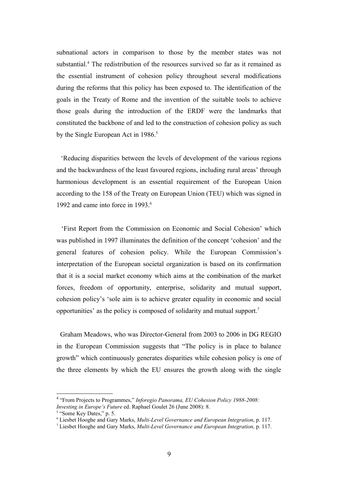subnational actors in comparison to those by the member states was not substantial.<sup>[4](#page-8-0)</sup> The redistribution of the resources survived so far as it remained as the essential instrument of cohesion policy throughout several modifications during the reforms that this policy has been exposed to. The identification of the goals in the Treaty of Rome and the invention of the suitable tools to achieve those goals during the introduction of the ERDF were the landmarks that constituted the backbone of and led to the construction of cohesion policy as such by the Single European Act in 1986.<sup>[5](#page-8-1)</sup>

 'Reducing disparities between the levels of development of the various regions and the backwardness of the least favoured regions, including rural areas' through harmonious development is an essential requirement of the European Union according to the 158 of the Treaty on European Union (TEU) which was signed in 1992 and came into force in 1993.<sup>[6](#page-8-2)</sup>

 'First Report from the Commission on Economic and Social Cohesion' which was published in 1997 illuminates the definition of the concept 'cohesion' and the general features of cohesion policy. While the European Commission's interpretation of the European societal organization is based on its confirmation that it is a social market economy which aims at the combination of the market forces, freedom of opportunity, enterprise, solidarity and mutual support, cohesion policy's 'sole aim is to achieve greater equality in economic and social opportunities' as the policy is composed of solidarity and mutual support.[7](#page-8-3)

 Graham Meadows, who was Director-General from 2003 to 2006 in DG REGIO in the European Commission suggests that "The policy is in place to balance growth" which continuously generates disparities while cohesion policy is one of the three elements by which the EU ensures the growth along with the single

<span id="page-8-0"></span><sup>4</sup> "From Projects to Programmes," *Inforegio Panorama, EU Cohesion Policy 1988-2008: Investing in Europe's Future* ed. Raphael Goulet 26 (June 2008): 8.

<span id="page-8-1"></span><sup>&</sup>lt;sup>5</sup> "Some Key Dates," p. 5.

<span id="page-8-2"></span><sup>6</sup> Liesbet Hooghe and Gary Marks, *Multi-Level Governance and European Integration*, p. 117.

<span id="page-8-3"></span><sup>7</sup> Liesbet Hooghe and Gary Marks, *Multi-Level Governance and European Integration,* p. 117.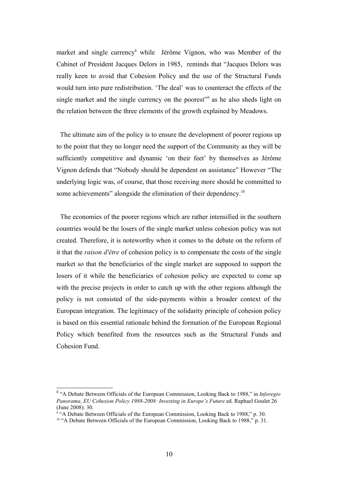market and single currency<sup>[8](#page-9-0)</sup> while Jérôme Vignon, who was Member of the Cabinet of President Jacques Delors in 1985, reminds that "Jacques Delors was really keen to avoid that Cohesion Policy and the use of the Structural Funds would turn into pure redistribution. 'The deal' was to counteract the effects of the single market and the single currency on the poorest"<sup>[9](#page-9-1)</sup> as he also sheds light on the relation between the three elements of the growth explained by Meadows.

 The ultimate aim of the policy is to ensure the development of poorer regions up to the point that they no longer need the support of the Community as they will be sufficiently competitive and dynamic 'on their feet' by themselves as Jérôme Vignon defends that "Nobody should be dependent on assistance" However "The underlying logic was, of course, that those receiving more should be committed to some achievements" alongside the elimination of their dependency.<sup>[10](#page-9-2)</sup>

 The economies of the poorer regions which are rather intensified in the southern countries would be the losers of the single market unless cohesion policy was not created. Therefore, it is noteworthy when it comes to the debate on the reform of it that the *raison d'être* of cohesion policy is to compensate the costs of the single market so that the beneficiaries of the single market are supposed to support the losers of it while the beneficiaries of cohesion policy are expected to come up with the precise projects in order to catch up with the other regions although the policy is not consisted of the side-payments within a broader context of the European integration. The legitimacy of the solidarity principle of cohesion policy is based on this essential rationale behind the formation of the European Regional Policy which benefited from the resources such as the Structural Funds and Cohesion Fund.

<span id="page-9-0"></span><sup>8</sup> "A Debate Between Officials of the European Commission, Looking Back to 1988," in *Inforegio Panorama, EU Cohesion Policy 1988-2008: Investing in Europe's Future* ed. Raphael Goulet 26 (June 2008): 30.

<span id="page-9-1"></span><sup>&</sup>lt;sup>9</sup> "A Debate Between Officials of the European Commission, Looking Back to 1988," p. 30.

<span id="page-9-2"></span><sup>&</sup>lt;sup>10</sup> "A Debate Between Officials of the European Commission, Looking Back to 1988," p. 31.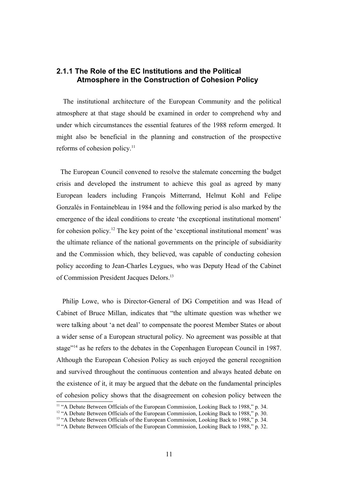## **2.1.1 The Role of the EC Institutions and the Political Atmosphere in the Construction of Cohesion Policy**

 The institutional architecture of the European Community and the political atmosphere at that stage should be examined in order to comprehend why and under which circumstances the essential features of the 1988 reform emerged. It might also be beneficial in the planning and construction of the prospective reforms of cohesion policy.<sup>[11](#page-10-0)</sup>

 The European Council convened to resolve the stalemate concerning the budget crisis and developed the instrument to achieve this goal as agreed by many European leaders including François Mitterrand, Helmut Kohl and Felipe Gonzalés in Fontainebleau in 1984 and the following period is also marked by the emergence of the ideal conditions to create 'the exceptional institutional moment' for cohesion policy.[12](#page-10-1) The key point of the 'exceptional institutional moment' was the ultimate reliance of the national governments on the principle of subsidiarity and the Commission which, they believed, was capable of conducting cohesion policy according to Jean-Charles Leygues, who was Deputy Head of the Cabinet of Commission President Jacques Delors.<sup>[13](#page-10-2)</sup>

 Philip Lowe, who is Director-General of DG Competition and was Head of Cabinet of Bruce Millan, indicates that "the ultimate question was whether we were talking about 'a net deal' to compensate the poorest Member States or about a wider sense of a European structural policy. No agreement was possible at that stage"[14](#page-10-3) as he refers to the debates in the Copenhagen European Council in 1987. Although the European Cohesion Policy as such enjoyed the general recognition and survived throughout the continuous contention and always heated debate on the existence of it, it may be argued that the debate on the fundamental principles of cohesion policy shows that the disagreement on cohesion policy between the

<span id="page-10-0"></span><sup>&</sup>lt;sup>11</sup> "A Debate Between Officials of the European Commission, Looking Back to 1988," p. 34.

<span id="page-10-1"></span><sup>&</sup>lt;sup>12</sup> "A Debate Between Officials of the European Commission, Looking Back to 1988," p. 30.

<span id="page-10-2"></span><sup>&</sup>lt;sup>13</sup> "A Debate Between Officials of the European Commission, Looking Back to 1988," p. 34.

<span id="page-10-3"></span><sup>14</sup> "A Debate Between Officials of the European Commission, Looking Back to 1988," p. 32.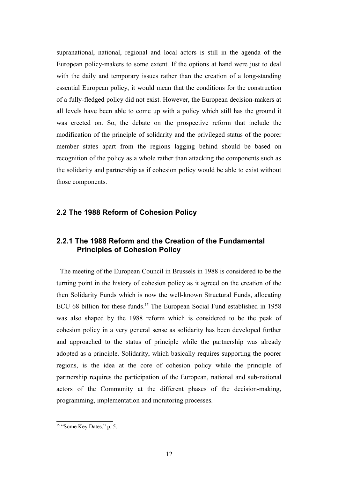supranational, national, regional and local actors is still in the agenda of the European policy-makers to some extent. If the options at hand were just to deal with the daily and temporary issues rather than the creation of a long-standing essential European policy, it would mean that the conditions for the construction of a fully-fledged policy did not exist. However, the European decision-makers at all levels have been able to come up with a policy which still has the ground it was erected on. So, the debate on the prospective reform that include the modification of the principle of solidarity and the privileged status of the poorer member states apart from the regions lagging behind should be based on recognition of the policy as a whole rather than attacking the components such as the solidarity and partnership as if cohesion policy would be able to exist without those components.

### **2.2 The 1988 Reform of Cohesion Policy**

## **2.2.1 The 1988 Reform and the Creation of the Fundamental Principles of Cohesion Policy**

 The meeting of the European Council in Brussels in 1988 is considered to be the turning point in the history of cohesion policy as it agreed on the creation of the then Solidarity Funds which is now the well-known Structural Funds, allocating ECU 68 billion for these funds.<sup>[15](#page-11-0)</sup> The European Social Fund established in 1958 was also shaped by the 1988 reform which is considered to be the peak of cohesion policy in a very general sense as solidarity has been developed further and approached to the status of principle while the partnership was already adopted as a principle. Solidarity, which basically requires supporting the poorer regions, is the idea at the core of cohesion policy while the principle of partnership requires the participation of the European, national and sub-national actors of the Community at the different phases of the decision-making, programming, implementation and monitoring processes.

<span id="page-11-0"></span><sup>&</sup>lt;sup>15</sup> "Some Key Dates," p. 5.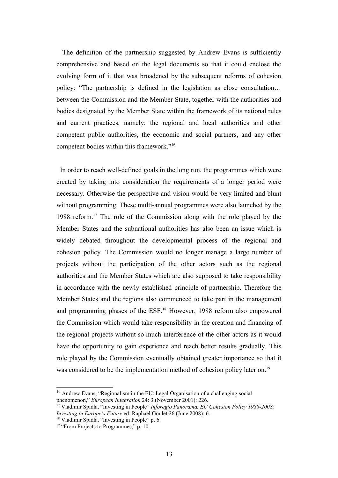The definition of the partnership suggested by Andrew Evans is sufficiently comprehensive and based on the legal documents so that it could enclose the evolving form of it that was broadened by the subsequent reforms of cohesion policy: "The partnership is defined in the legislation as close consultation… between the Commission and the Member State, together with the authorities and bodies designated by the Member State within the framework of its national rules and current practices, namely: the regional and local authorities and other competent public authorities, the economic and social partners, and any other competent bodies within this framework."[16](#page-12-0)

 In order to reach well-defined goals in the long run, the programmes which were created by taking into consideration the requirements of a longer period were necessary. Otherwise the perspective and vision would be very limited and blunt without programming. These multi-annual programmes were also launched by the 1988 reform.[17](#page-12-1) The role of the Commission along with the role played by the Member States and the subnational authorities has also been an issue which is widely debated throughout the developmental process of the regional and cohesion policy. The Commission would no longer manage a large number of projects without the participation of the other actors such as the regional authorities and the Member States which are also supposed to take responsibility in accordance with the newly established principle of partnership. Therefore the Member States and the regions also commenced to take part in the management and programming phases of the ESF.<sup>[18](#page-12-2)</sup> However, 1988 reform also empowered the Commission which would take responsibility in the creation and financing of the regional projects without so much interference of the other actors as it would have the opportunity to gain experience and reach better results gradually. This role played by the Commission eventually obtained greater importance so that it was considered to be the implementation method of cohesion policy later on.<sup>[19](#page-12-3)</sup>

<span id="page-12-0"></span><sup>16</sup> Andrew Evans, "Regionalism in the EU: Legal Organisation of a challenging social phenomenon," *European Integration* 24: 3 (November 2001): 226.

<span id="page-12-1"></span><sup>17</sup> Vladimir Spidla, "Investing in People" *Inforegio Panorama, EU Cohesion Policy 1988-2008: Investing in Europe's Future* ed. Raphael Goulet 26 (June 2008): 6.

<span id="page-12-2"></span><sup>&</sup>lt;sup>18</sup> Vladimir Spidla, "Investing in People" p. 6.

<span id="page-12-3"></span> $19$  "From Projects to Programmes," p. 10.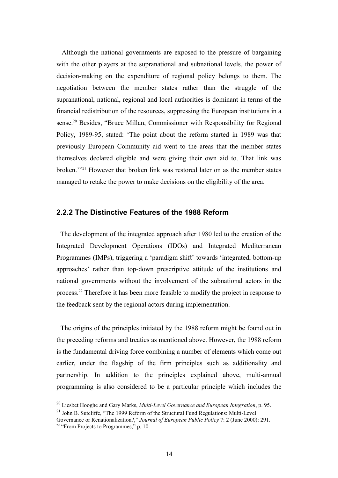Although the national governments are exposed to the pressure of bargaining with the other players at the supranational and subnational levels, the power of decision-making on the expenditure of regional policy belongs to them. The negotiation between the member states rather than the struggle of the supranational, national, regional and local authorities is dominant in terms of the financial redistribution of the resources, suppressing the European institutions in a sense.[20](#page-13-0) Besides, "Bruce Millan, Commissioner with Responsibility for Regional Policy, 1989-95, stated: 'The point about the reform started in 1989 was that previously European Community aid went to the areas that the member states themselves declared eligible and were giving their own aid to. That link was broken.'"[21](#page-13-1) However that broken link was restored later on as the member states managed to retake the power to make decisions on the eligibility of the area.

### **2.2.2 The Distinctive Features of the 1988 Reform**

 The development of the integrated approach after 1980 led to the creation of the Integrated Development Operations (IDOs) and Integrated Mediterranean Programmes (IMPs), triggering a 'paradigm shift' towards 'integrated, bottom-up approaches' rather than top-down prescriptive attitude of the institutions and national governments without the involvement of the subnational actors in the process.[22](#page-13-2) Therefore it has been more feasible to modify the project in response to the feedback sent by the regional actors during implementation.

 The origins of the principles initiated by the 1988 reform might be found out in the preceding reforms and treaties as mentioned above. However, the 1988 reform is the fundamental driving force combining a number of elements which come out earlier, under the flagship of the firm principles such as additionality and partnership. In addition to the principles explained above, multi-annual programming is also considered to be a particular principle which includes the

<span id="page-13-0"></span><sup>20</sup> Liesbet Hooghe and Gary Marks, *Multi-Level Governance and European Integration*, p. 95.

<span id="page-13-1"></span> $21$  John B. Sutcliffe, "The 1999 Reform of the Structural Fund Regulations: Multi-Level

<span id="page-13-2"></span>Governance or Renationalization?," *Journal of European Public Policy* 7: 2 (June 2000): 291. <sup>22</sup> "From Projects to Programmes," p. 10.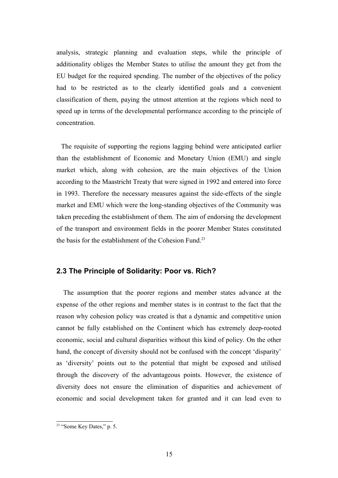analysis, strategic planning and evaluation steps, while the principle of additionality obliges the Member States to utilise the amount they get from the EU budget for the required spending. The number of the objectives of the policy had to be restricted as to the clearly identified goals and a convenient classification of them, paying the utmost attention at the regions which need to speed up in terms of the developmental performance according to the principle of concentration.

 The requisite of supporting the regions lagging behind were anticipated earlier than the establishment of Economic and Monetary Union (EMU) and single market which, along with cohesion, are the main objectives of the Union according to the Maastricht Treaty that were signed in 1992 and entered into force in 1993. Therefore the necessary measures against the side-effects of the single market and EMU which were the long-standing objectives of the Community was taken preceding the establishment of them. The aim of endorsing the development of the transport and environment fields in the poorer Member States constituted the basis for the establishment of the Cohesion Fund.<sup>[23](#page-14-0)</sup>

## **2.3 The Principle of Solidarity: Poor vs. Rich?**

 The assumption that the poorer regions and member states advance at the expense of the other regions and member states is in contrast to the fact that the reason why cohesion policy was created is that a dynamic and competitive union cannot be fully established on the Continent which has extremely deep-rooted economic, social and cultural disparities without this kind of policy. On the other hand, the concept of diversity should not be confused with the concept 'disparity' as 'diversity' points out to the potential that might be exposed and utilised through the discovery of the advantageous points. However, the existence of diversity does not ensure the elimination of disparities and achievement of economic and social development taken for granted and it can lead even to

<span id="page-14-0"></span> $\frac{23}{23}$  "Some Key Dates," p. 5.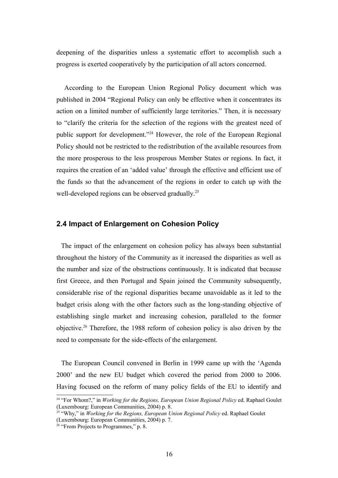deepening of the disparities unless a systematic effort to accomplish such a progress is exerted cooperatively by the participation of all actors concerned.

 According to the European Union Regional Policy document which was published in 2004 "Regional Policy can only be effective when it concentrates its action on a limited number of sufficiently large territories." Then, it is necessary to "clarify the criteria for the selection of the regions with the greatest need of public support for development."[24](#page-15-0) However, the role of the European Regional Policy should not be restricted to the redistribution of the available resources from the more prosperous to the less prosperous Member States or regions. In fact, it requires the creation of an 'added value' through the effective and efficient use of the funds so that the advancement of the regions in order to catch up with the well-developed regions can be observed gradually.<sup>[25](#page-15-1)</sup>

## **2.4 Impact of Enlargement on Cohesion Policy**

 The impact of the enlargement on cohesion policy has always been substantial throughout the history of the Community as it increased the disparities as well as the number and size of the obstructions continuously. It is indicated that because first Greece, and then Portugal and Spain joined the Community subsequently, considerable rise of the regional disparities became unavoidable as it led to the budget crisis along with the other factors such as the long-standing objective of establishing single market and increasing cohesion, paralleled to the former objective.[26](#page-15-2) Therefore, the 1988 reform of cohesion policy is also driven by the need to compensate for the side-effects of the enlargement.

 The European Council convened in Berlin in 1999 came up with the 'Agenda 2000' and the new EU budget which covered the period from 2000 to 2006. Having focused on the reform of many policy fields of the EU to identify and

<span id="page-15-0"></span><sup>&</sup>lt;sup>24</sup> "For Whom?," in *Working for the Regions, European Union Regional Policy* ed. Raphael Goulet (Luxembourg: European Communities, 2004) p. 8.

<span id="page-15-1"></span><sup>&</sup>lt;sup>25</sup> "Why," in *Working for the Regions, European Union Regional Policy* ed. Raphael Goulet (Luxembourg: European Communities, 2004) p. 7.

<span id="page-15-2"></span> $26$  "From Projects to Programmes," p. 8.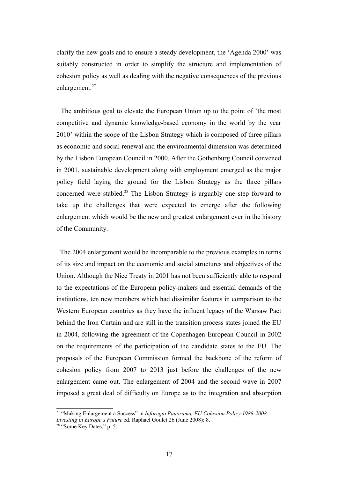clarify the new goals and to ensure a steady development, the 'Agenda 2000' was suitably constructed in order to simplify the structure and implementation of cohesion policy as well as dealing with the negative consequences of the previous enlargement.<sup>[27](#page-16-0)</sup>

 The ambitious goal to elevate the European Union up to the point of 'the most competitive and dynamic knowledge-based economy in the world by the year 2010' within the scope of the Lisbon Strategy which is composed of three pillars as economic and social renewal and the environmental dimension was determined by the Lisbon European Council in 2000. After the Gothenburg Council convened in 2001, sustainable development along with employment emerged as the major policy field laying the ground for the Lisbon Strategy as the three pillars concerned were stabled.[28](#page-16-1) The Lisbon Strategy is arguably one step forward to take up the challenges that were expected to emerge after the following enlargement which would be the new and greatest enlargement ever in the history of the Community.

 The 2004 enlargement would be incomparable to the previous examples in terms of its size and impact on the economic and social structures and objectives of the Union. Although the Nice Treaty in 2001 has not been sufficiently able to respond to the expectations of the European policy-makers and essential demands of the institutions, ten new members which had dissimilar features in comparison to the Western European countries as they have the influent legacy of the Warsaw Pact behind the Iron Curtain and are still in the transition process states joined the EU in 2004, following the agreement of the Copenhagen European Council in 2002 on the requirements of the participation of the candidate states to the EU. The proposals of the European Commission formed the backbone of the reform of cohesion policy from 2007 to 2013 just before the challenges of the new enlargement came out. The enlargement of 2004 and the second wave in 2007 imposed a great deal of difficulty on Europe as to the integration and absorption

<span id="page-16-0"></span><sup>27</sup> "Making Enlargement a Success" in *Inforegio Panorama, EU Cohesion Policy 1988-2008: Investing in Europe's Future* ed. Raphael Goulet 26 (June 2008): 8.

<span id="page-16-1"></span> $28$  "Some Key Dates," p. 5.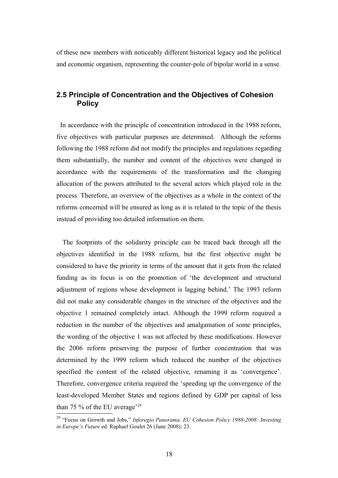of these new members with noticeably different historical legacy and the political and economic organism, representing the counter-pole of bipolar world in a sense.

## **2.5 Principle of Concentration and the Objectives of Cohesion Policy**

 In accordance with the principle of concentration introduced in the 1988 reform, five objectives with particular purposes are determined. Although the reforms following the 1988 reform did not modify the principles and regulations regarding them substantially, the number and content of the objectives were changed in accordance with the requirements of the transformation and the changing allocation of the powers attributed to the several actors which played role in the process. Therefore, an overview of the objectives as a whole in the context of the reforms concerned will be ensured as long as it is related to the topic of the thesis instead of providing too detailed information on them.

 The footprints of the solidarity principle can be traced back through all the objectives identified in the 1988 reform, but the first objective might be considered to have the priority in terms of the amount that it gets from the related funding as its focus is on the promotion of 'the development and structural adjustment of regions whose development is lagging behind.' The 1993 reform did not make any considerable changes in the structure of the objectives and the objective 1 remained completely intact. Although the 1999 reform required a reduction in the number of the objectives and amalgamation of some principles, the wording of the objective 1 was not affected by these modifications. However the 2006 reform preserving the purpose of further concentration that was determined by the 1999 reform which reduced the number of the objectives specified the content of the related objective, renaming it as 'convergence'. Therefore, convergence criteria required the 'speeding up the convergence of the least-developed Member States and regions defined by GDP per capital of less than 75  $\%$  of the EU average<sup>2[29](#page-17-0)</sup>

<span id="page-17-0"></span><sup>29</sup> "Focus on Growth and Jobs," *Inforegio Panorama, EU Cohesion Policy 1988-2008: Investing in Europe's Future* ed. Raphael Goulet 26 (June 2008): 23.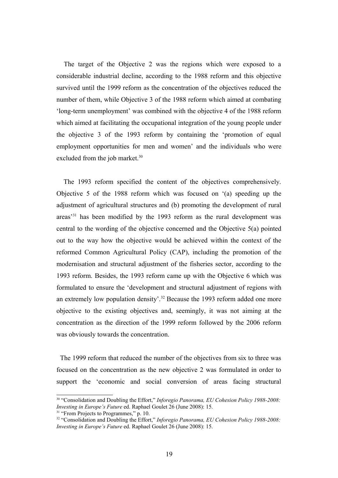The target of the Objective 2 was the regions which were exposed to a considerable industrial decline, according to the 1988 reform and this objective survived until the 1999 reform as the concentration of the objectives reduced the number of them, while Objective 3 of the 1988 reform which aimed at combating 'long-term unemployment' was combined with the objective 4 of the 1988 reform which aimed at facilitating the occupational integration of the young people under the objective 3 of the 1993 reform by containing the 'promotion of equal employment opportunities for men and women' and the individuals who were excluded from the job market.<sup>[30](#page-18-0)</sup>

 The 1993 reform specified the content of the objectives comprehensively. Objective 5 of the 1988 reform which was focused on '(a) speeding up the adjustment of agricultural structures and (b) promoting the development of rural areas'[31](#page-18-1) has been modified by the 1993 reform as the rural development was central to the wording of the objective concerned and the Objective 5(a) pointed out to the way how the objective would be achieved within the context of the reformed Common Agricultural Policy (CAP), including the promotion of the modernisation and structural adjustment of the fisheries sector, according to the 1993 reform. Besides, the 1993 reform came up with the Objective 6 which was formulated to ensure the 'development and structural adjustment of regions with an extremely low population density'.<sup>[32](#page-18-2)</sup> Because the 1993 reform added one more objective to the existing objectives and, seemingly, it was not aiming at the concentration as the direction of the 1999 reform followed by the 2006 reform was obviously towards the concentration.

 The 1999 reform that reduced the number of the objectives from six to three was focused on the concentration as the new objective 2 was formulated in order to support the 'economic and social conversion of areas facing structural

<span id="page-18-0"></span><sup>30</sup> "Consolidation and Doubling the Effort," *Inforegio Panorama, EU Cohesion Policy 1988-2008: Investing in Europe's Future* ed. Raphael Goulet 26 (June 2008): 15.

<span id="page-18-1"></span> $31$  "From Projects to Programmes," p. 10.

<span id="page-18-2"></span><sup>32</sup> "Consolidation and Doubling the Effort," *Inforegio Panorama, EU Cohesion Policy 1988-2008: Investing in Europe's Future* ed. Raphael Goulet 26 (June 2008): 15.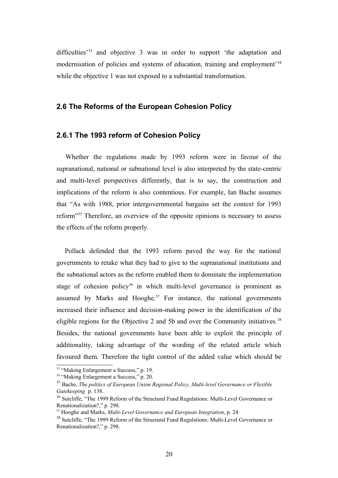difficulties<sup>[33](#page-19-0)</sup> and objective 3 was in order to support 'the adaptation and modernisation of policies and systems of education, training and employment'[34](#page-19-1) while the objective 1 was not exposed to a substantial transformation.

#### **2.6 The Reforms of the European Cohesion Policy**

#### **2.6.1 The 1993 reform of Cohesion Policy**

 Whether the regulations made by 1993 reform were in favour of the supranational, national or subnational level is also interpreted by the state-centric and multi-level perspectives differently, that is to say, the construction and implications of the reform is also contentious. For example, Ian Bache assumes that "As with 1988, prior intergovernmental bargains set the context for 1993 reform"[35](#page-19-2) Therefore, an overview of the opposite opinions is necessary to assess the effects of the reform properly.

 Pollack defended that the 1993 reform paved the way for the national governments to retake what they had to give to the supranational institutions and the subnational actors as the reform enabled them to dominate the implementation stage of cohesion policy<sup>[36](#page-19-3)</sup> in which multi-level governance is prominent as assumed by Marks and Hooghe. $37$  For instance, the national governments increased their influence and decision-making power in the identification of the eligible regions for the Objective 2 and 5b and over the Community initiatives.<sup>[38](#page-19-5)</sup> Besides, the national governments have been able to exploit the principle of additionality, taking advantage of the wording of the related article which favoured them. Therefore the tight control of the added value which should be

<span id="page-19-0"></span><sup>&</sup>lt;sup>33</sup> "Making Enlargement a Success," p. 19.

<span id="page-19-1"></span><sup>&</sup>lt;sup>34</sup> "Making Enlargement a Success," p. 20.

<span id="page-19-2"></span><sup>35</sup> Bache, *The politics of European Union Regional Policy, Multi-level Governance or Flexible Gatekeeping* p. 138.

<span id="page-19-3"></span><sup>&</sup>lt;sup>36</sup> Sutcliffe, "The 1999 Reform of the Structural Fund Regulations: Multi-Level Governance or Renationalization?," p. 298.

<span id="page-19-4"></span><sup>37</sup> Hooghe and Marks, *Multi-Level Governance and European Integration*, p. 24.

<span id="page-19-5"></span><sup>&</sup>lt;sup>38</sup> Sutcliffe, "The 1999 Reform of the Structural Fund Regulations: Multi-Level Governance or Renationalization?," p. 298.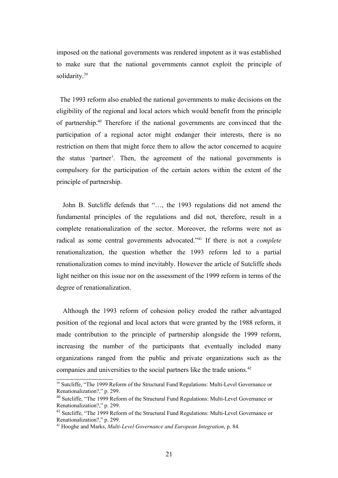imposed on the national governments was rendered impotent as it was established to make sure that the national governments cannot exploit the principle of solidarity.<sup>[39](#page-20-0)</sup>

 The 1993 reform also enabled the national governments to make decisions on the eligibility of the regional and local actors which would benefit from the principle of partnership.[40](#page-20-1) Therefore if the national governments are convinced that the participation of a regional actor might endanger their interests, there is no restriction on them that might force them to allow the actor concerned to acquire the status 'partner'. Then, the agreement of the national governments is compulsory for the participation of the certain actors within the extent of the principle of partnership.

 John B. Sutcliffe defends that "…, the 1993 regulations did not amend the fundamental principles of the regulations and did not, therefore, result in a complete renationalization of the sector. Moreover, the reforms were not as radical as some central governments advocated."[41](#page-20-2) If there is not a *complete* renationalization, the question whether the 1993 reform led to a partial renationalization comes to mind inevitably. However the article of Sutcliffe sheds light neither on this issue nor on the assessment of the 1999 reform in terms of the degree of renationalization.

 Although the 1993 reform of cohesion policy eroded the rather advantaged position of the regional and local actors that were granted by the 1988 reform, it made contribution to the principle of partnership alongside the 1999 reform, increasing the number of the participants that eventually included many organizations ranged from the public and private organizations such as the companies and universities to the social partners like the trade unions.<sup>[42](#page-20-3)</sup>

<span id="page-20-0"></span><sup>&</sup>lt;sup>39</sup> Sutcliffe, "The 1999 Reform of the Structural Fund Regulations: Multi-Level Governance or Renationalization?," p. 299.

<span id="page-20-1"></span><sup>&</sup>lt;sup>40</sup> Sutcliffe, "The 1999 Reform of the Structural Fund Regulations: Multi-Level Governance or Renationalization?," p. 299.

<span id="page-20-2"></span><sup>&</sup>lt;sup>41</sup> Sutcliffe, "The 1999 Reform of the Structural Fund Regulations: Multi-Level Governance or Renationalization?," p. 299.

<span id="page-20-3"></span><sup>42</sup> Hooghe and Marks, *Multi-Level Governance and European Integration*, p. 84.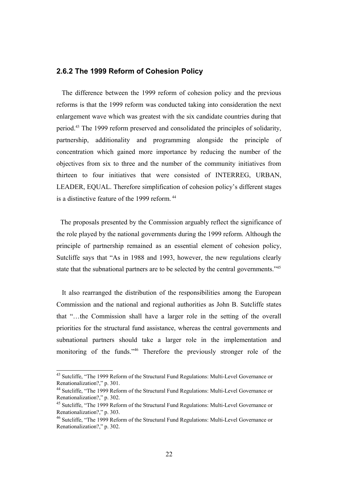#### **2.6.2 The 1999 Reform of Cohesion Policy**

 The difference between the 1999 reform of cohesion policy and the previous reforms is that the 1999 reform was conducted taking into consideration the next enlargement wave which was greatest with the six candidate countries during that period.[43](#page-21-0) The 1999 reform preserved and consolidated the principles of solidarity, partnership, additionality and programming alongside the principle of concentration which gained more importance by reducing the number of the objectives from six to three and the number of the community initiatives from thirteen to four initiatives that were consisted of INTERREG, URBAN, LEADER, EQUAL. Therefore simplification of cohesion policy's different stages is a distinctive feature of the 1999 reform. [44](#page-21-1)

 The proposals presented by the Commission arguably reflect the significance of the role played by the national governments during the 1999 reform. Although the principle of partnership remained as an essential element of cohesion policy, Sutcliffe says that "As in 1988 and 1993, however, the new regulations clearly state that the subnational partners are to be selected by the central governments.<sup>2[45](#page-21-2)</sup>

 It also rearranged the distribution of the responsibilities among the European Commission and the national and regional authorities as John B. Sutcliffe states that "…the Commission shall have a larger role in the setting of the overall priorities for the structural fund assistance, whereas the central governments and subnational partners should take a larger role in the implementation and monitoring of the funds."[46](#page-21-3) Therefore the previously stronger role of the

<span id="page-21-0"></span><sup>&</sup>lt;sup>43</sup> Sutcliffe, "The 1999 Reform of the Structural Fund Regulations: Multi-Level Governance or Renationalization?," p. 301.

<span id="page-21-1"></span><sup>&</sup>lt;sup>44</sup> Sutcliffe, "The 1999 Reform of the Structural Fund Regulations: Multi-Level Governance or Renationalization?," p. 302.

<span id="page-21-2"></span><sup>&</sup>lt;sup>45</sup> Sutcliffe, "The 1999 Reform of the Structural Fund Regulations: Multi-Level Governance or Renationalization?," p. 303.

<span id="page-21-3"></span><sup>46</sup> Sutcliffe, "The 1999 Reform of the Structural Fund Regulations: Multi-Level Governance or Renationalization?," p. 302.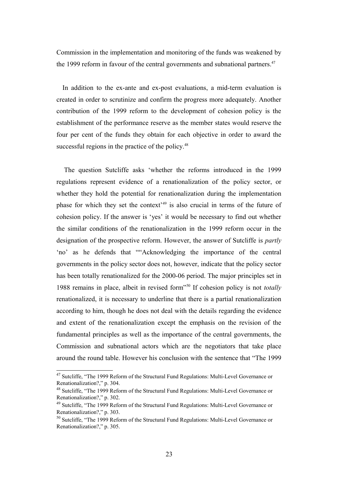Commission in the implementation and monitoring of the funds was weakened by the 1999 reform in favour of the central governments and subnational partners.<sup>[47](#page-22-0)</sup>

 In addition to the ex-ante and ex-post evaluations, a mid-term evaluation is created in order to scrutinize and confirm the progress more adequately. Another contribution of the 1999 reform to the development of cohesion policy is the establishment of the performance reserve as the member states would reserve the four per cent of the funds they obtain for each objective in order to award the successful regions in the practice of the policy.<sup>[48](#page-22-1)</sup>

 The question Sutcliffe asks 'whether the reforms introduced in the 1999 regulations represent evidence of a renationalization of the policy sector, or whether they hold the potential for renationalization during the implementation phase for which they set the context<sup> $49$ </sup> is also crucial in terms of the future of cohesion policy. If the answer is 'yes' it would be necessary to find out whether the similar conditions of the renationalization in the 1999 reform occur in the designation of the prospective reform. However, the answer of Sutcliffe is *partly* 'no' as he defends that ""Acknowledging the importance of the central governments in the policy sector does not, however, indicate that the policy sector has been totally renationalized for the 2000-06 period. The major principles set in 1988 remains in place, albeit in revised form"[50](#page-22-3) If cohesion policy is not *totally* renationalized, it is necessary to underline that there is a partial renationalization according to him, though he does not deal with the details regarding the evidence and extent of the renationalization except the emphasis on the revision of the fundamental principles as well as the importance of the central governments, the Commission and subnational actors which are the negotiators that take place around the round table. However his conclusion with the sentence that "The 1999

<span id="page-22-0"></span><sup>&</sup>lt;sup>47</sup> Sutcliffe, "The 1999 Reform of the Structural Fund Regulations: Multi-Level Governance or Renationalization?," p. 304.

<span id="page-22-1"></span><sup>&</sup>lt;sup>48</sup> Sutcliffe, "The 1999 Reform of the Structural Fund Regulations: Multi-Level Governance or Renationalization?," p. 302.

<span id="page-22-2"></span><sup>&</sup>lt;sup>49</sup> Sutcliffe, "The 1999 Reform of the Structural Fund Regulations: Multi-Level Governance or Renationalization?," p. 303.

<span id="page-22-3"></span><sup>50</sup> Sutcliffe, "The 1999 Reform of the Structural Fund Regulations: Multi-Level Governance or Renationalization?," p. 305.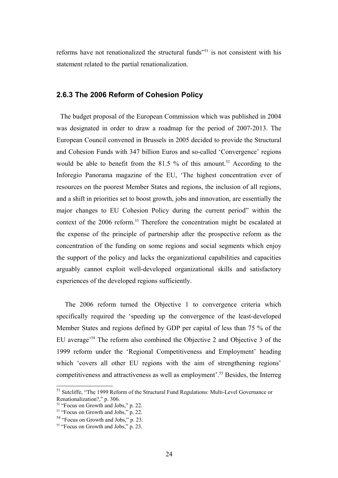reforms have not renationalized the structural funds<sup> $251$  $251$ </sup> is not consistent with his statement related to the partial renationalization.

### **2.6.3 The 2006 Reform of Cohesion Policy**

 The budget proposal of the European Commission which was published in 2004 was designated in order to draw a roadmap for the period of 2007-2013. The European Council convened in Brussels in 2005 decided to provide the Structural and Cohesion Funds with 347 billion Euros and so-called 'Convergence' regions would be able to benefit from the 81.5 % of this amount.<sup>[52](#page-23-1)</sup> According to the Inforegio Panorama magazine of the EU, 'The highest concentration ever of resources on the poorest Member States and regions, the inclusion of all regions, and a shift in priorities set to boost growth, jobs and innovation, are essentially the major changes to EU Cohesion Policy during the current period" within the context of the 2006 reform.<sup>[53](#page-23-2)</sup> Therefore the concentration might be escalated at the expense of the principle of partnership after the prospective reform as the concentration of the funding on some regions and social segments which enjoy the support of the policy and lacks the organizational capabilities and capacities arguably cannot exploit well-developed organizational skills and satisfactory experiences of the developed regions sufficiently.

 The 2006 reform turned the Objective 1 to convergence criteria which specifically required the 'speeding up the convergence of the least-developed Member States and regions defined by GDP per capital of less than 75 % of the EU average'[54](#page-23-3) The reform also combined the Objective 2 and Objective 3 of the 1999 reform under the 'Regional Competitiveness and Employment' heading which 'covers all other EU regions with the aim of strengthening regions' competitiveness and attractiveness as well as employment'.[55](#page-23-4) Besides, the Interreg

<span id="page-23-0"></span><sup>51</sup> Sutcliffe, "The 1999 Reform of the Structural Fund Regulations: Multi-Level Governance or Renationalization?," p. 306.

<span id="page-23-1"></span><sup>&</sup>lt;sup>52</sup> "Focus on Growth and Jobs," p. 22.

<span id="page-23-2"></span><sup>&</sup>lt;sup>53</sup> "Focus on Growth and Jobs," p. 22.

<span id="page-23-3"></span><sup>54</sup> "Focus on Growth and Jobs," p. 23.

<span id="page-23-4"></span> $55$  "Focus on Growth and Jobs," p. 23.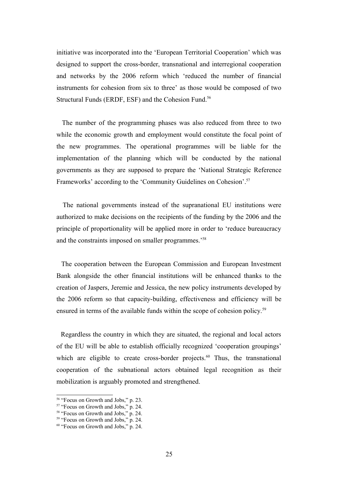initiative was incorporated into the 'European Territorial Cooperation' which was designed to support the cross-border, transnational and interregional cooperation and networks by the 2006 reform which 'reduced the number of financial instruments for cohesion from six to three' as those would be composed of two Structural Funds (ERDF, ESF) and the Cohesion Fund.<sup>[56](#page-24-0)</sup>

 The number of the programming phases was also reduced from three to two while the economic growth and employment would constitute the focal point of the new programmes. The operational programmes will be liable for the implementation of the planning which will be conducted by the national governments as they are supposed to prepare the 'National Strategic Reference Frameworks' according to the 'Community Guidelines on Cohesion'.[57](#page-24-1)

 The national governments instead of the supranational EU institutions were authorized to make decisions on the recipients of the funding by the 2006 and the principle of proportionality will be applied more in order to 'reduce bureaucracy and the constraints imposed on smaller programmes.'[58](#page-24-2)

 The cooperation between the European Commission and European Investment Bank alongside the other financial institutions will be enhanced thanks to the creation of Jaspers, Jeremie and Jessica, the new policy instruments developed by the 2006 reform so that capacity-building, effectiveness and efficiency will be ensured in terms of the available funds within the scope of cohesion policy.<sup>[59](#page-24-3)</sup>

 Regardless the country in which they are situated, the regional and local actors of the EU will be able to establish officially recognized 'cooperation groupings' which are eligible to create cross-border projects.<sup>[60](#page-24-4)</sup> Thus, the transnational cooperation of the subnational actors obtained legal recognition as their mobilization is arguably promoted and strengthened.

<span id="page-24-0"></span><sup>&</sup>lt;sup>56</sup> "Focus on Growth and Jobs," p. 23.

<span id="page-24-1"></span><sup>&</sup>lt;sup>57</sup> "Focus on Growth and Jobs," p. 24.

<span id="page-24-2"></span><sup>&</sup>lt;sup>58</sup> "Focus on Growth and Jobs," p. 24.

<span id="page-24-3"></span><sup>&</sup>lt;sup>59</sup> "Focus on Growth and Jobs," p. 24.

<span id="page-24-4"></span> $60$  "Focus on Growth and Jobs," p. 24.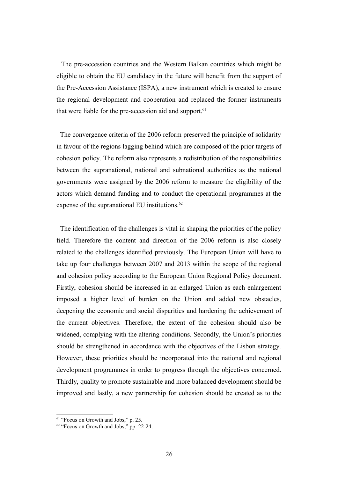The pre-accession countries and the Western Balkan countries which might be eligible to obtain the EU candidacy in the future will benefit from the support of the Pre-Accession Assistance (ISPA), a new instrument which is created to ensure the regional development and cooperation and replaced the former instruments that were liable for the pre-accession aid and support.<sup>[61](#page-25-0)</sup>

 The convergence criteria of the 2006 reform preserved the principle of solidarity in favour of the regions lagging behind which are composed of the prior targets of cohesion policy. The reform also represents a redistribution of the responsibilities between the supranational, national and subnational authorities as the national governments were assigned by the 2006 reform to measure the eligibility of the actors which demand funding and to conduct the operational programmes at the expense of the supranational EU institutions.<sup>[62](#page-25-1)</sup>

 The identification of the challenges is vital in shaping the priorities of the policy field. Therefore the content and direction of the 2006 reform is also closely related to the challenges identified previously. The European Union will have to take up four challenges between 2007 and 2013 within the scope of the regional and cohesion policy according to the European Union Regional Policy document. Firstly, cohesion should be increased in an enlarged Union as each enlargement imposed a higher level of burden on the Union and added new obstacles, deepening the economic and social disparities and hardening the achievement of the current objectives. Therefore, the extent of the cohesion should also be widened, complying with the altering conditions. Secondly, the Union's priorities should be strengthened in accordance with the objectives of the Lisbon strategy. However, these priorities should be incorporated into the national and regional development programmes in order to progress through the objectives concerned. Thirdly, quality to promote sustainable and more balanced development should be improved and lastly, a new partnership for cohesion should be created as to the

<span id="page-25-0"></span><sup>&</sup>lt;sup>61</sup> "Focus on Growth and Jobs," p. 25.

<span id="page-25-1"></span> $62$  "Focus on Growth and Jobs." pp. 22-24.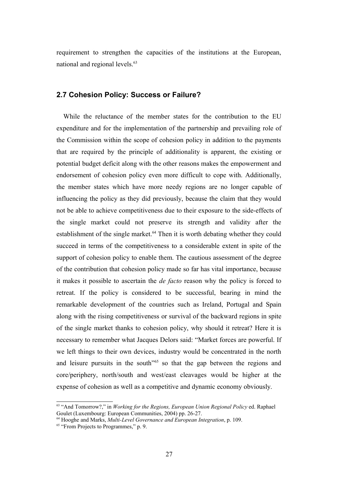requirement to strengthen the capacities of the institutions at the European, national and regional levels.<sup>[63](#page-26-0)</sup>

### **2.7 Cohesion Policy: Success or Failure?**

 While the reluctance of the member states for the contribution to the EU expenditure and for the implementation of the partnership and prevailing role of the Commission within the scope of cohesion policy in addition to the payments that are required by the principle of additionality is apparent, the existing or potential budget deficit along with the other reasons makes the empowerment and endorsement of cohesion policy even more difficult to cope with. Additionally, the member states which have more needy regions are no longer capable of influencing the policy as they did previously, because the claim that they would not be able to achieve competitiveness due to their exposure to the side-effects of the single market could not preserve its strength and validity after the establishment of the single market. $64$  Then it is worth debating whether they could succeed in terms of the competitiveness to a considerable extent in spite of the support of cohesion policy to enable them. The cautious assessment of the degree of the contribution that cohesion policy made so far has vital importance, because it makes it possible to ascertain the *de facto* reason why the policy is forced to retreat. If the policy is considered to be successful, bearing in mind the remarkable development of the countries such as Ireland, Portugal and Spain along with the rising competitiveness or survival of the backward regions in spite of the single market thanks to cohesion policy, why should it retreat? Here it is necessary to remember what Jacques Delors said: "Market forces are powerful. If we left things to their own devices, industry would be concentrated in the north and leisure pursuits in the south<sup>"[65](#page-26-2)</sup> so that the gap between the regions and core/periphery, north/south and west/east cleavages would be higher at the expense of cohesion as well as a competitive and dynamic economy obviously.

<span id="page-26-0"></span><sup>63</sup> "And Tomorrow?," in *Working for the Regions, European Union Regional Policy* ed. Raphael Goulet (Luxembourg: European Communities, 2004) pp. 26-27.

<span id="page-26-1"></span><sup>64</sup> Hooghe and Marks, *Multi-Level Governance and European Integration*, p. 109.

<span id="page-26-2"></span> $65$  "From Projects to Programmes," p. 9.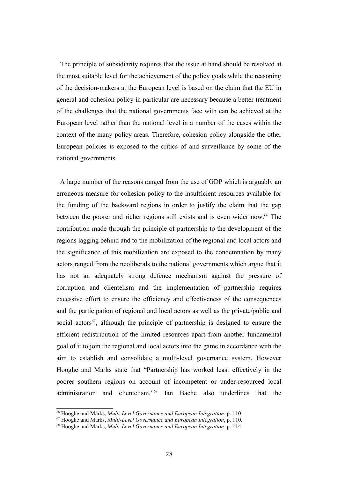The principle of subsidiarity requires that the issue at hand should be resolved at the most suitable level for the achievement of the policy goals while the reasoning of the decision-makers at the European level is based on the claim that the EU in general and cohesion policy in particular are necessary because a better treatment of the challenges that the national governments face with can be achieved at the European level rather than the national level in a number of the cases within the context of the many policy areas. Therefore, cohesion policy alongside the other European policies is exposed to the critics of and surveillance by some of the national governments.

 A large number of the reasons ranged from the use of GDP which is arguably an erroneous measure for cohesion policy to the insufficient resources available for the funding of the backward regions in order to justify the claim that the gap between the poorer and richer regions still exists and is even wider now.<sup>[66](#page-27-0)</sup> The contribution made through the principle of partnership to the development of the regions lagging behind and to the mobilization of the regional and local actors and the significance of this mobilization are exposed to the condemnation by many actors ranged from the neoliberals to the national governments which argue that it has not an adequately strong defence mechanism against the pressure of corruption and clientelism and the implementation of partnership requires excessive effort to ensure the efficiency and effectiveness of the consequences and the participation of regional and local actors as well as the private/public and social actors<sup>[67](#page-27-1)</sup>, although the principle of partnership is designed to ensure the efficient redistribution of the limited resources apart from another fundamental goal of it to join the regional and local actors into the game in accordance with the aim to establish and consolidate a multi-level governance system. However Hooghe and Marks state that "Partnership has worked least effectively in the poorer southern regions on account of incompetent or under-resourced local administration and clientelism."[68](#page-27-2) Ian Bache also underlines that the

<span id="page-27-0"></span><sup>66</sup> Hooghe and Marks, *Multi-Level Governance and European Integration*, p. 110.

<span id="page-27-1"></span><sup>67</sup> Hooghe and Marks, *Multi-Level Governance and European Integration*, p. 110.

<span id="page-27-2"></span><sup>68</sup> Hooghe and Marks, *Multi-Level Governance and European Integration*, p. 114.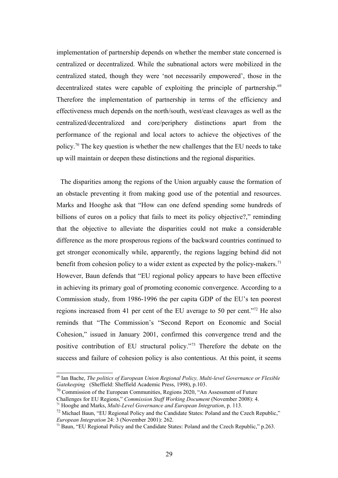implementation of partnership depends on whether the member state concerned is centralized or decentralized. While the subnational actors were mobilized in the centralized stated, though they were 'not necessarily empowered', those in the decentralized states were capable of exploiting the principle of partnership.<sup>[69](#page-28-0)</sup> Therefore the implementation of partnership in terms of the efficiency and effectiveness much depends on the north/south, west/east cleavages as well as the centralized/decentralized and core/periphery distinctions apart from the performance of the regional and local actors to achieve the objectives of the policy.[70](#page-28-1) The key question is whether the new challenges that the EU needs to take up will maintain or deepen these distinctions and the regional disparities.

 The disparities among the regions of the Union arguably cause the formation of an obstacle preventing it from making good use of the potential and resources. Marks and Hooghe ask that "How can one defend spending some hundreds of billions of euros on a policy that fails to meet its policy objective?," reminding that the objective to alleviate the disparities could not make a considerable difference as the more prosperous regions of the backward countries continued to get stronger economically while, apparently, the regions lagging behind did not benefit from cohesion policy to a wider extent as expected by the policy-makers.<sup>[71](#page-28-2)</sup> However, Baun defends that "EU regional policy appears to have been effective in achieving its primary goal of promoting economic convergence. According to a Commission study, from 1986-1996 the per capita GDP of the EU's ten poorest regions increased from 41 per cent of the EU average to 50 per cent."[72](#page-28-3) He also reminds that "The Commission's "Second Report on Economic and Social Cohesion," issued in January 2001, confirmed this convergence trend and the positive contribution of EU structural policy."[73](#page-28-4) Therefore the debate on the success and failure of cohesion policy is also contentious. At this point, it seems

<span id="page-28-0"></span><sup>69</sup> Ian Bache, *The politics of European Union Regional Policy, Multi-level Governance or Flexible Gatekeeping* (Sheffield: Sheffield Academic Press, 1998), p.103.

<span id="page-28-1"></span> $70$  Commission of the European Communities, Regions 2020, "An Assessment of Future

Challenges for EU Regions," *Commission Staff Working Document* (November 2008): 4.

<span id="page-28-2"></span><sup>71</sup> Hooghe and Marks, *Multi-Level Governance and European Integration*, p. 113.

<span id="page-28-3"></span> $72$  Michael Baun, "EU Regional Policy and the Candidate States: Poland and the Czech Republic," *European Integration* 24: 3 (November 2001): 262.

<span id="page-28-4"></span> $^{73}$  Baun, "EU Regional Policy and the Candidate States: Poland and the Czech Republic," p.263.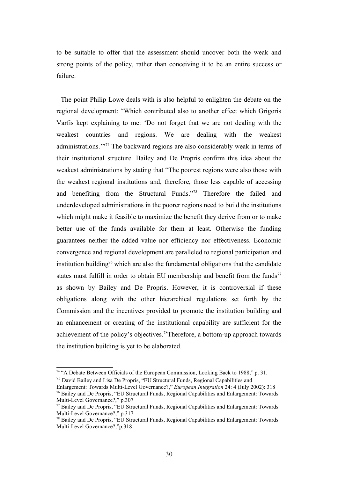to be suitable to offer that the assessment should uncover both the weak and strong points of the policy, rather than conceiving it to be an entire success or failure.

 The point Philip Lowe deals with is also helpful to enlighten the debate on the regional development: "Which contributed also to another effect which Grigoris Varfis kept explaining to me: 'Do not forget that we are not dealing with the weakest countries and regions. We are dealing with the weakest administrations.'"[74](#page-29-0) The backward regions are also considerably weak in terms of their institutional structure. Bailey and De Propris confirm this idea about the weakest administrations by stating that "The poorest regions were also those with the weakest regional institutions and, therefore, those less capable of accessing and benefiting from the Structural Funds."[75](#page-29-1) Therefore the failed and underdeveloped administrations in the poorer regions need to build the institutions which might make it feasible to maximize the benefit they derive from or to make better use of the funds available for them at least. Otherwise the funding guarantees neither the added value nor efficiency nor effectiveness. Economic convergence and regional development are paralleled to regional participation and institution building<sup>[76](#page-29-2)</sup> which are also the fundamental obligations that the candidate states must fulfill in order to obtain EU membership and benefit from the funds<sup>[77](#page-29-3)</sup> as shown by Bailey and De Propris. However, it is controversial if these obligations along with the other hierarchical regulations set forth by the Commission and the incentives provided to promote the institution building and an enhancement or creating of the institutional capability are sufficient for the achievement of the policy's objectives.[78](#page-29-4)Therefore, a bottom-up approach towards the institution building is yet to be elaborated.

<span id="page-29-0"></span><sup>74</sup> "A Debate Between Officials of the European Commission, Looking Back to 1988," p. 31.

<span id="page-29-1"></span><sup>75</sup> David Bailey and Lisa De Propris, "EU Structural Funds, Regional Capabilities and

<span id="page-29-2"></span>Enlargement: Towards Multi-Level Governance?," *European Integration* 24: 4 (July 2002): 318 <sup>76</sup> Bailey and De Propris, "EU Structural Funds, Regional Capabilities and Enlargement: Towards Multi-Level Governance?," p.307

<span id="page-29-3"></span> $77$  Bailey and De Propris, "EU Structural Funds, Regional Capabilities and Enlargement: Towards Multi-Level Governance?," p.317

<span id="page-29-4"></span><sup>&</sup>lt;sup>78</sup> Bailey and De Propris, "EU Structural Funds, Regional Capabilities and Enlargement: Towards Multi-Level Governance?,"p.318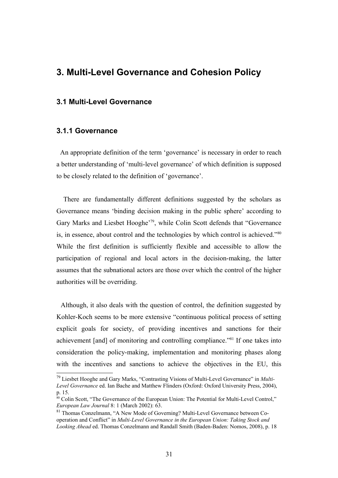# **3. Multi-Level Governance and Cohesion Policy**

#### **3.1 Multi-Level Governance**

## **3.1.1 Governance**

 An appropriate definition of the term 'governance' is necessary in order to reach a better understanding of 'multi-level governance' of which definition is supposed to be closely related to the definition of 'governance'.

 There are fundamentally different definitions suggested by the scholars as Governance means 'binding decision making in the public sphere' according to Gary Marks and Liesbet Hooghe'<sup>[79](#page-30-0)</sup>, while Colin Scott defends that "Governance" is, in essence, about control and the technologies by which control is achieved."[80](#page-30-1) While the first definition is sufficiently flexible and accessible to allow the participation of regional and local actors in the decision-making, the latter assumes that the subnational actors are those over which the control of the higher authorities will be overriding.

 Although, it also deals with the question of control, the definition suggested by Kohler-Koch seems to be more extensive "continuous political process of setting explicit goals for society, of providing incentives and sanctions for their achievement [and] of monitoring and controlling compliance."[81](#page-30-2) If one takes into consideration the policy-making, implementation and monitoring phases along with the incentives and sanctions to achieve the objectives in the EU, this

<span id="page-30-0"></span><sup>79</sup> Liesbet Hooghe and Gary Marks, "Contrasting Visions of Multi-Level Governance" in *Multi-Level Governance* ed. Ian Bache and Matthew Flinders (Oxford: Oxford University Press, 2004), p. 15.

<span id="page-30-1"></span><sup>&</sup>lt;sup>80</sup> Colin Scott, "The Governance of the European Union: The Potential for Multi-Level Control," *European Law Journal* 8: 1 (March 2002): 63.

<span id="page-30-2"></span><sup>81</sup> Thomas Conzelmann, "A New Mode of Governing? Multi-Level Governance between Cooperation and Conflict" in *Multi-Level Governance in the European Union: Taking Stock and Looking Ahead* ed. Thomas Conzelmann and Randall Smith (Baden-Baden: Nomos, 2008), p. 18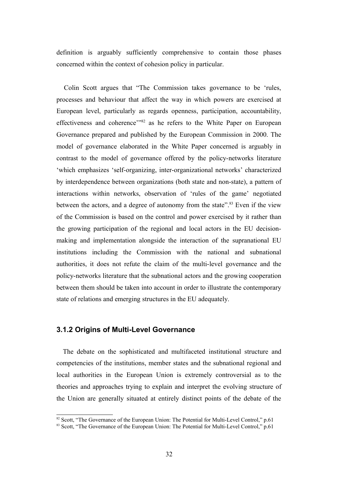definition is arguably sufficiently comprehensive to contain those phases concerned within the context of cohesion policy in particular.

 Colin Scott argues that "The Commission takes governance to be 'rules, processes and behaviour that affect the way in which powers are exercised at European level, particularly as regards openness, participation, accountability, effectiveness and coherence'"[82](#page-31-0) as he refers to the White Paper on European Governance prepared and published by the European Commission in 2000. The model of governance elaborated in the White Paper concerned is arguably in contrast to the model of governance offered by the policy-networks literature 'which emphasizes 'self-organizing, inter-organizational networks' characterized by interdependence between organizations (both state and non-state), a pattern of interactions within networks, observation of 'rules of the game' negotiated between the actors, and a degree of autonomy from the state". $83$  Even if the view of the Commission is based on the control and power exercised by it rather than the growing participation of the regional and local actors in the EU decisionmaking and implementation alongside the interaction of the supranational EU institutions including the Commission with the national and subnational authorities, it does not refute the claim of the multi-level governance and the policy-networks literature that the subnational actors and the growing cooperation between them should be taken into account in order to illustrate the contemporary state of relations and emerging structures in the EU adequately.

### **3.1.2 Origins of Multi-Level Governance**

 The debate on the sophisticated and multifaceted institutional structure and competencies of the institutions, member states and the subnational regional and local authorities in the European Union is extremely controversial as to the theories and approaches trying to explain and interpret the evolving structure of the Union are generally situated at entirely distinct points of the debate of the

<span id="page-31-0"></span><sup>&</sup>lt;sup>82</sup> Scott, "The Governance of the European Union: The Potential for Multi-Level Control," p.61

<span id="page-31-1"></span><sup>83</sup> Scott, "The Governance of the European Union: The Potential for Multi-Level Control," p.61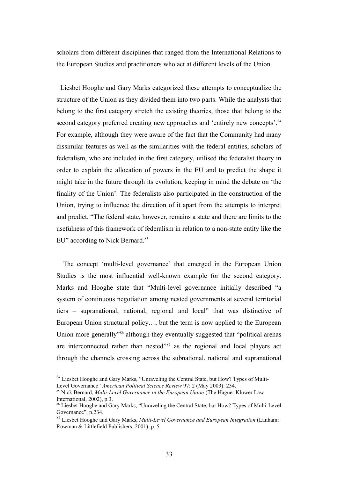scholars from different disciplines that ranged from the International Relations to the European Studies and practitioners who act at different levels of the Union.

 Liesbet Hooghe and Gary Marks categorized these attempts to conceptualize the structure of the Union as they divided them into two parts. While the analysts that belong to the first category stretch the existing theories, those that belong to the second category preferred creating new approaches and 'entirely new concepts'.<sup>[84](#page-32-0)</sup> For example, although they were aware of the fact that the Community had many dissimilar features as well as the similarities with the federal entities, scholars of federalism, who are included in the first category, utilised the federalist theory in order to explain the allocation of powers in the EU and to predict the shape it might take in the future through its evolution, keeping in mind the debate on 'the finality of the Union'. The federalists also participated in the construction of the Union, trying to influence the direction of it apart from the attempts to interpret and predict. "The federal state, however, remains a state and there are limits to the usefulness of this framework of federalism in relation to a non-state entity like the EU" according to Nick Bernard.<sup>[85](#page-32-1)</sup>

 The concept 'multi-level governance' that emerged in the European Union Studies is the most influential well-known example for the second category. Marks and Hooghe state that "Multi-level governance initially described "a system of continuous negotiation among nested governments at several territorial tiers – supranational, national, regional and local" that was distinctive of European Union structural policy…, but the term is now applied to the European Union more generally<sup>7[86](#page-32-2)</sup> although they eventually suggested that "political arenas" are interconnected rather than nested"<sup>[87](#page-32-3)</sup> as the regional and local players act through the channels crossing across the subnational, national and supranational

<span id="page-32-0"></span><sup>&</sup>lt;sup>84</sup> Liesbet Hooghe and Gary Marks, "Unraveling the Central State, but How? Types of Multi-Level Governance" *American Political Science Review* 97: 2 (May 2003): 234.

<span id="page-32-1"></span><sup>85</sup> Nick Bernard, *Multi-Level Governance in the European Union* (The Hague: Kluwer Law International, 2002), p.3.

<span id="page-32-2"></span><sup>86</sup> Liesbet Hooghe and Gary Marks, "Unraveling the Central State, but How? Types of Multi-Level Governance", p.234.

<span id="page-32-3"></span><sup>87</sup> Liesbet Hooghe and Gary Marks, *Multi-Level Governance and European Integration* (Lanham: Rowman & Littlefield Publishers, 2001), p. 5.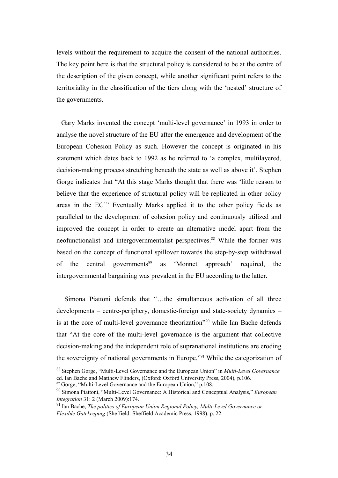levels without the requirement to acquire the consent of the national authorities. The key point here is that the structural policy is considered to be at the centre of the description of the given concept, while another significant point refers to the territoriality in the classification of the tiers along with the 'nested' structure of the governments.

 Gary Marks invented the concept 'multi-level governance' in 1993 in order to analyse the novel structure of the EU after the emergence and development of the European Cohesion Policy as such. However the concept is originated in his statement which dates back to 1992 as he referred to 'a complex, multilayered, decision-making process stretching beneath the state as well as above it'. Stephen Gorge indicates that "At this stage Marks thought that there was 'little reason to believe that the experience of structural policy will be replicated in other policy areas in the EC'" Eventually Marks applied it to the other policy fields as paralleled to the development of cohesion policy and continuously utilized and improved the concept in order to create an alternative model apart from the neofunctionalist and intergovernmentalist perspectives.<sup>[88](#page-33-0)</sup> While the former was based on the concept of functional spillover towards the step-by-step withdrawal of the central governments<sup>[89](#page-33-1)</sup> as 'Monnet approach' required, the intergovernmental bargaining was prevalent in the EU according to the latter.

 Simona Piattoni defends that "…the simultaneous activation of all three developments – centre-periphery, domestic-foreign and state-society dynamics – is at the core of multi-level governance theorization<sup>"[90](#page-33-2)</sup> while Ian Bache defends that "At the core of the multi-level governance is the argument that collective decision-making and the independent role of supranational institutions are eroding the sovereignty of national governments in Europe."[91](#page-33-3) While the categorization of

<span id="page-33-0"></span><sup>88</sup> Stephen Gorge, "Multi-Level Governance and the European Union" in *Multi-Level Governance* ed. Ian Bache and Matthew Flinders, (Oxford: Oxford University Press, 2004), p.106.

<span id="page-33-1"></span><sup>89</sup> Gorge, "Multi-Level Governance and the European Union," p.108.

<span id="page-33-2"></span><sup>90</sup> Simona Piattoni, "Multi-Level Governance: A Historical and Conceptual Analysis," *European Integration* 31: 2 (March 2009):174.

<span id="page-33-3"></span><sup>91</sup> Ian Bache, *The politics of European Union Regional Policy, Multi-Level Governance or Flexible Gatekeeping* (Sheffield: Sheffield Academic Press, 1998), p. 22.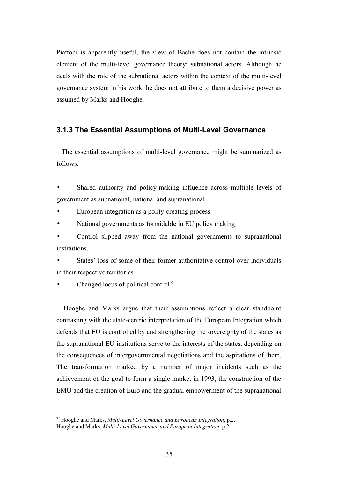Piattoni is apparently useful, the view of Bache does not contain the intrinsic element of the multi-level governance theory: subnational actors. Although he deals with the role of the subnational actors within the context of the multi-level governance system in his work, he does not attribute to them a decisive power as assumed by Marks and Hooghe.

## **3.1.3 The Essential Assumptions of Multi-Level Governance**

 The essential assumptions of multi-level governance might be summarized as follows:

Shared authority and policy-making influence across multiple levels of government as subnational, national and supranational

European integration as a polity-creating process

• National governments as formidable in EU policy making

• Control slipped away from the national governments to supranational institutions.

States' loss of some of their former authoritative control over individuals in their respective territories

Changed locus of political control<sup>[92](#page-34-0)</sup>

 Hooghe and Marks argue that their assumptions reflect a clear standpoint contrasting with the state-centric interpretation of the European Integration which defends that EU is controlled by and strengthening the sovereignty of the states as the supranational EU institutions serve to the interests of the states, depending on the consequences of intergovernmental negotiations and the aspirations of them. The transformation marked by a number of major incidents such as the achievement of the goal to form a single market in 1993, the construction of the EMU and the creation of Euro and the gradual empowerment of the supranational

<span id="page-34-0"></span><sup>92</sup> Hooghe and Marks, *Multi-Level Governance and European Integration*, p.2.

Hooghe and Marks, *Multi-Level Governance and European Integration*, p.2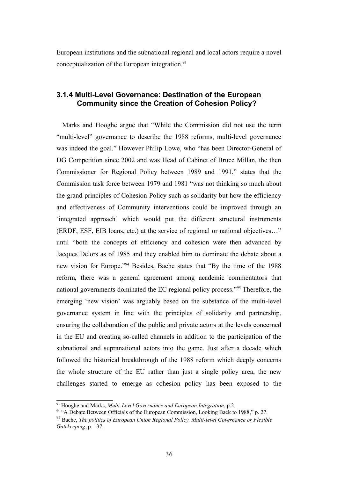European institutions and the subnational regional and local actors require a novel conceptualization of the European integration.<sup>[93](#page-35-0)</sup>

## **3.1.4 Multi-Level Governance: Destination of the European Community since the Creation of Cohesion Policy?**

 Marks and Hooghe argue that "While the Commission did not use the term "multi-level" governance to describe the 1988 reforms, multi-level governance was indeed the goal." However Philip Lowe, who "has been Director-General of DG Competition since 2002 and was Head of Cabinet of Bruce Millan, the then Commissioner for Regional Policy between 1989 and 1991," states that the Commission task force between 1979 and 1981 "was not thinking so much about the grand principles of Cohesion Policy such as solidarity but how the efficiency and effectiveness of Community interventions could be improved through an 'integrated approach' which would put the different structural instruments (ERDF, ESF, EIB loans, etc.) at the service of regional or national objectives…" until "both the concepts of efficiency and cohesion were then advanced by Jacques Delors as of 1985 and they enabled him to dominate the debate about a new vision for Europe."[94](#page-35-1) Besides, Bache states that "By the time of the 1988 reform, there was a general agreement among academic commentators that national governments dominated the EC regional policy process."[95](#page-35-2) Therefore, the emerging 'new vision' was arguably based on the substance of the multi-level governance system in line with the principles of solidarity and partnership, ensuring the collaboration of the public and private actors at the levels concerned in the EU and creating so-called channels in addition to the participation of the subnational and supranational actors into the game. Just after a decade which followed the historical breakthrough of the 1988 reform which deeply concerns the whole structure of the EU rather than just a single policy area, the new challenges started to emerge as cohesion policy has been exposed to the

<span id="page-35-0"></span><sup>93</sup> Hooghe and Marks, *Multi-Level Governance and European Integration*, p.2

<span id="page-35-1"></span><sup>&</sup>lt;sup>94</sup> "A Debate Between Officials of the European Commission, Looking Back to 1988," p. 27.

<span id="page-35-2"></span><sup>95</sup> Bache, *The politics of European Union Regional Policy, Multi-level Governance or Flexible Gatekeeping*, p. 137.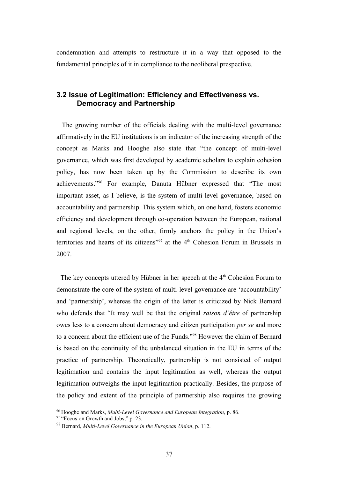condemnation and attempts to restructure it in a way that opposed to the fundamental principles of it in compliance to the neoliberal prespective.

### **3.2 Issue of Legitimation: Efficiency and Effectiveness vs. Democracy and Partnership**

The growing number of the officials dealing with the multi-level governance affirmatively in the EU institutions is an indicator of the increasing strength of the concept as Marks and Hooghe also state that "the concept of multi-level governance, which was first developed by academic scholars to explain cohesion policy, has now been taken up by the Commission to describe its own achievements."[96](#page-36-0) For example, Danuta Hübner expressed that "The most important asset, as I believe, is the system of multi-level governance, based on accountability and partnership. This system which, on one hand, fosters economic efficiency and development through co-operation between the European, national and regional levels, on the other, firmly anchors the policy in the Union's territories and hearts of its citizens"<sup>[97](#page-36-1)</sup> at the  $4<sup>th</sup>$  Cohesion Forum in Brussels in 2007.

The key concepts uttered by Hübner in her speech at the  $4<sup>th</sup>$  Cohesion Forum to demonstrate the core of the system of multi-level governance are 'accountability' and 'partnership', whereas the origin of the latter is criticized by Nick Bernard who defends that "It may well be that the original *raison d'être* of partnership owes less to a concern about democracy and citizen participation *per se* and more to a concern about the efficient use of the Funds."[98](#page-36-2) However the claim of Bernard is based on the continuity of the unbalanced situation in the EU in terms of the practice of partnership. Theoretically, partnership is not consisted of output legitimation and contains the input legitimation as well, whereas the output legitimation outweighs the input legitimation practically. Besides, the purpose of the policy and extent of the principle of partnership also requires the growing

<span id="page-36-0"></span><sup>96</sup> Hooghe and Marks, *Multi-Level Governance and European Integration*, p. 86.

<span id="page-36-1"></span><sup>&</sup>lt;sup>97</sup> "Focus on Growth and Jobs," p. 23.

<span id="page-36-2"></span><sup>98</sup> Bernard, *Multi-Level Governance in the European Union*, p. 112.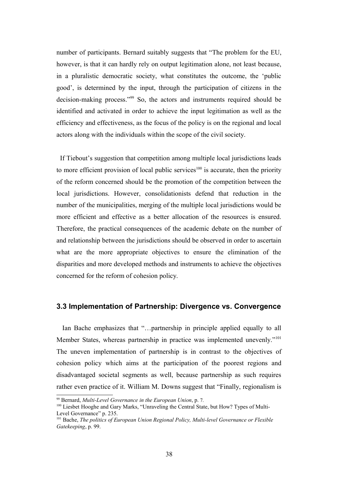number of participants. Bernard suitably suggests that "The problem for the EU, however, is that it can hardly rely on output legitimation alone, not least because, in a pluralistic democratic society, what constitutes the outcome, the 'public good', is determined by the input, through the participation of citizens in the decision-making process."[99](#page-37-0) So, the actors and instruments required should be identified and activated in order to achieve the input legitimation as well as the efficiency and effectiveness, as the focus of the policy is on the regional and local actors along with the individuals within the scope of the civil society.

 If Tiebout's suggestion that competition among multiple local jurisdictions leads to more efficient provision of local public services<sup>[100](#page-37-1)</sup> is accurate, then the priority of the reform concerned should be the promotion of the competition between the local jurisdictions. However, consolidationists defend that reduction in the number of the municipalities, merging of the multiple local jurisdictions would be more efficient and effective as a better allocation of the resources is ensured. Therefore, the practical consequences of the academic debate on the number of and relationship between the jurisdictions should be observed in order to ascertain what are the more appropriate objectives to ensure the elimination of the disparities and more developed methods and instruments to achieve the objectives concerned for the reform of cohesion policy.

#### **3.3 Implementation of Partnership: Divergence vs. Convergence**

 Ian Bache emphasizes that "…partnership in principle applied equally to all Member States, whereas partnership in practice was implemented unevenly."<sup>[101](#page-37-2)</sup> The uneven implementation of partnership is in contrast to the objectives of cohesion policy which aims at the participation of the poorest regions and disadvantaged societal segments as well, because partnership as such requires rather even practice of it. William M. Downs suggest that "Finally, regionalism is

<span id="page-37-0"></span><sup>99</sup> Bernard, *Multi-Level Governance in the European Union*, p. 7.

<span id="page-37-1"></span><sup>&</sup>lt;sup>100</sup> Liesbet Hooghe and Gary Marks, "Unraveling the Central State, but How? Types of Multi-Level Governance" p. 235.

<span id="page-37-2"></span><sup>101</sup> Bache, *The politics of European Union Regional Policy, Multi-level Governance or Flexible Gatekeeping*, p. 99.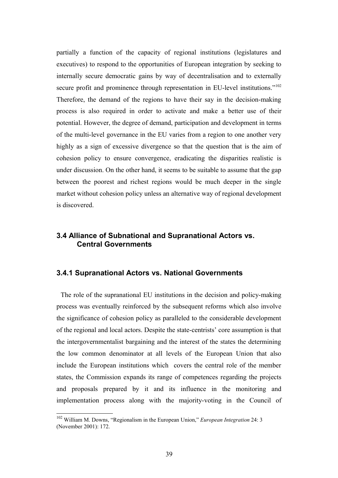partially a function of the capacity of regional institutions (legislatures and executives) to respond to the opportunities of European integration by seeking to internally secure democratic gains by way of decentralisation and to externally secure profit and prominence through representation in EU-level institutions."<sup>[102](#page-38-0)</sup> Therefore, the demand of the regions to have their say in the decision-making process is also required in order to activate and make a better use of their potential. However, the degree of demand, participation and development in terms of the multi-level governance in the EU varies from a region to one another very highly as a sign of excessive divergence so that the question that is the aim of cohesion policy to ensure convergence, eradicating the disparities realistic is under discussion. On the other hand, it seems to be suitable to assume that the gap between the poorest and richest regions would be much deeper in the single market without cohesion policy unless an alternative way of regional development is discovered.

### **3.4 Alliance of Subnational and Supranational Actors vs. Central Governments**

#### **3.4.1 Supranational Actors vs. National Governments**

 The role of the supranational EU institutions in the decision and policy-making process was eventually reinforced by the subsequent reforms which also involve the significance of cohesion policy as paralleled to the considerable development of the regional and local actors. Despite the state-centrists' core assumption is that the intergovernmentalist bargaining and the interest of the states the determining the low common denominator at all levels of the European Union that also include the European institutions which covers the central role of the member states, the Commission expands its range of competences regarding the projects and proposals prepared by it and its influence in the monitoring and implementation process along with the majority-voting in the Council of

<span id="page-38-0"></span><sup>102</sup> William M. Downs, "Regionalism in the European Union," *European Integration* 24: 3 (November 2001): 172.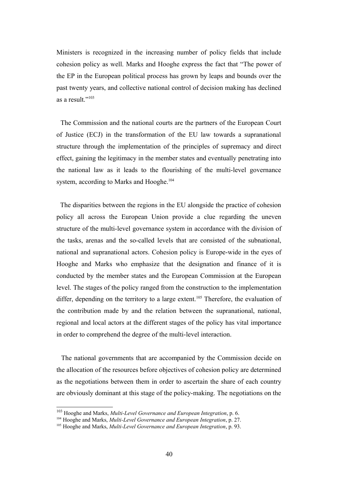Ministers is recognized in the increasing number of policy fields that include cohesion policy as well. Marks and Hooghe express the fact that "The power of the EP in the European political process has grown by leaps and bounds over the past twenty years, and collective national control of decision making has declined as a result."<sup>[103](#page-39-0)</sup>

 The Commission and the national courts are the partners of the European Court of Justice (ECJ) in the transformation of the EU law towards a supranational structure through the implementation of the principles of supremacy and direct effect, gaining the legitimacy in the member states and eventually penetrating into the national law as it leads to the flourishing of the multi-level governance system, according to Marks and Hooghe.<sup>[104](#page-39-1)</sup>

 The disparities between the regions in the EU alongside the practice of cohesion policy all across the European Union provide a clue regarding the uneven structure of the multi-level governance system in accordance with the division of the tasks, arenas and the so-called levels that are consisted of the subnational, national and supranational actors. Cohesion policy is Europe-wide in the eyes of Hooghe and Marks who emphasize that the designation and finance of it is conducted by the member states and the European Commission at the European level. The stages of the policy ranged from the construction to the implementation differ, depending on the territory to a large extent.<sup>[105](#page-39-2)</sup> Therefore, the evaluation of the contribution made by and the relation between the supranational, national, regional and local actors at the different stages of the policy has vital importance in order to comprehend the degree of the multi-level interaction.

 The national governments that are accompanied by the Commission decide on the allocation of the resources before objectives of cohesion policy are determined as the negotiations between them in order to ascertain the share of each country are obviously dominant at this stage of the policy-making. The negotiations on the

<span id="page-39-0"></span><sup>103</sup> Hooghe and Marks, *Multi-Level Governance and European Integration*, p. 6.

<span id="page-39-1"></span><sup>104</sup> Hooghe and Marks, *Multi-Level Governance and European Integration*, p. 27.

<span id="page-39-2"></span><sup>105</sup> Hooghe and Marks, *Multi-Level Governance and European Integration*, p. 93.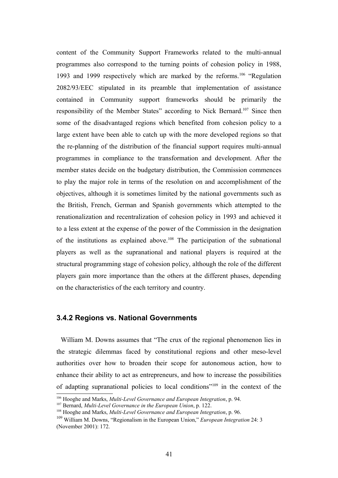content of the Community Support Frameworks related to the multi-annual programmes also correspond to the turning points of cohesion policy in 1988, 1993 and 1999 respectively which are marked by the reforms.[106](#page-40-0) "Regulation 2082/93/EEC stipulated in its preamble that implementation of assistance contained in Community support frameworks should be primarily the responsibility of the Member States" according to Nick Bernard.[107](#page-40-1) Since then some of the disadvantaged regions which benefited from cohesion policy to a large extent have been able to catch up with the more developed regions so that the re-planning of the distribution of the financial support requires multi-annual programmes in compliance to the transformation and development. After the member states decide on the budgetary distribution, the Commission commences to play the major role in terms of the resolution on and accomplishment of the objectives, although it is sometimes limited by the national governments such as the British, French, German and Spanish governments which attempted to the renationalization and recentralization of cohesion policy in 1993 and achieved it to a less extent at the expense of the power of the Commission in the designation of the institutions as explained above.<sup>[108](#page-40-2)</sup> The participation of the subnational players as well as the supranational and national players is required at the structural programming stage of cohesion policy, although the role of the different players gain more importance than the others at the different phases, depending on the characteristics of the each territory and country.

#### **3.4.2 Regions vs. National Governments**

 William M. Downs assumes that "The crux of the regional phenomenon lies in the strategic dilemmas faced by constitutional regions and other meso-level authorities over how to broaden their scope for autonomous action, how to enhance their ability to act as entrepreneurs, and how to increase the possibilities of adapting supranational policies to local conditions"[109](#page-40-3) in the context of the

<span id="page-40-0"></span><sup>106</sup> Hooghe and Marks, *Multi-Level Governance and European Integration*, p. 94.

<span id="page-40-1"></span><sup>107</sup> Bernard, *Multi-Level Governance in the European Union*, p. 122.

<span id="page-40-2"></span><sup>108</sup> Hooghe and Marks, *Multi-Level Governance and European Integration*, p. 96.

<span id="page-40-3"></span><sup>109</sup> William M. Downs, "Regionalism in the European Union," *European Integration* 24: 3 (November 2001): 172.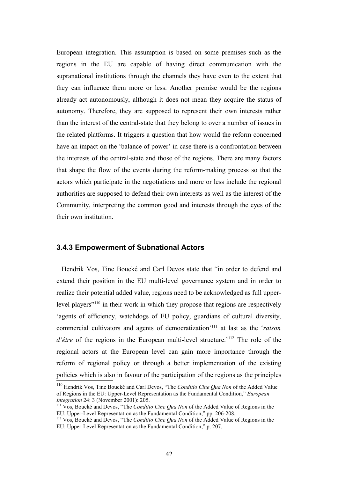European integration. This assumption is based on some premises such as the regions in the EU are capable of having direct communication with the supranational institutions through the channels they have even to the extent that they can influence them more or less. Another premise would be the regions already act autonomously, although it does not mean they acquire the status of autonomy. Therefore, they are supposed to represent their own interests rather than the interest of the central-state that they belong to over a number of issues in the related platforms. It triggers a question that how would the reform concerned have an impact on the 'balance of power' in case there is a confrontation between the interests of the central-state and those of the regions. There are many factors that shape the flow of the events during the reform-making process so that the actors which participate in the negotiations and more or less include the regional authorities are supposed to defend their own interests as well as the interest of the Community, interpreting the common good and interests through the eyes of the their own institution.

#### **3.4.3 Empowerment of Subnational Actors**

 Hendrik Vos, Tine Boucké and Carl Devos state that "in order to defend and extend their position in the EU multi-level governance system and in order to realize their potential added value, regions need to be acknowledged as full upperlevel players"[110](#page-41-0) in their work in which they propose that regions are respectively 'agents of efficiency, watchdogs of EU policy, guardians of cultural diversity, commercial cultivators and agents of democratization'[111](#page-41-1) at last as the '*raison d'être* of the regions in the European multi-level structure.<sup>'[112](#page-41-2)</sup> The role of the regional actors at the European level can gain more importance through the reform of regional policy or through a better implementation of the existing policies which is also in favour of the participation of the regions as the principles

<span id="page-41-0"></span><sup>110</sup> Hendrik Vos, Tine Boucké and Carl Devos, "The *Conditio Cine Qua Non* of the Added Value of Regions in the EU: Upper-Level Representation as the Fundamental Condition," *European Integration* 24: 3 (November 2001): 205.

<span id="page-41-1"></span><sup>111</sup> Vos, Boucké and Devos, "The *Conditio Cine Qua Non* of the Added Value of Regions in the EU: Upper-Level Representation as the Fundamental Condition," pp. 206-208.

<span id="page-41-2"></span><sup>112</sup> Vos, Boucké and Devos, "The *Conditio Cine Qua Non* of the Added Value of Regions in the EU: Upper-Level Representation as the Fundamental Condition," p. 207.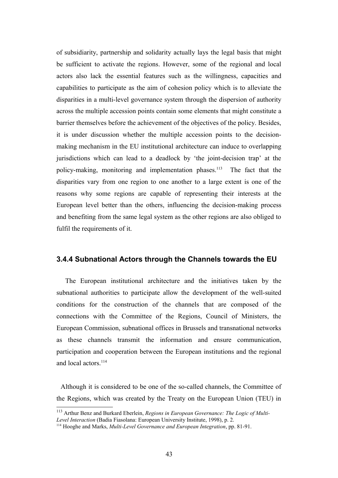of subsidiarity, partnership and solidarity actually lays the legal basis that might be sufficient to activate the regions. However, some of the regional and local actors also lack the essential features such as the willingness, capacities and capabilities to participate as the aim of cohesion policy which is to alleviate the disparities in a multi-level governance system through the dispersion of authority across the multiple accession points contain some elements that might constitute a barrier themselves before the achievement of the objectives of the policy. Besides, it is under discussion whether the multiple accession points to the decisionmaking mechanism in the EU institutional architecture can induce to overlapping jurisdictions which can lead to a deadlock by 'the joint-decision trap' at the policy-making, monitoring and implementation phases.<sup>[113](#page-42-0)</sup> The fact that the disparities vary from one region to one another to a large extent is one of the reasons why some regions are capable of representing their interests at the European level better than the others, influencing the decision-making process and benefiting from the same legal system as the other regions are also obliged to fulfil the requirements of it.

### **3.4.4 Subnational Actors through the Channels towards the EU**

 The European institutional architecture and the initiatives taken by the subnational authorities to participate allow the development of the well-suited conditions for the construction of the channels that are composed of the connections with the Committee of the Regions, Council of Ministers, the European Commission, subnational offices in Brussels and transnational networks as these channels transmit the information and ensure communication, participation and cooperation between the European institutions and the regional and local actors.<sup>[114](#page-42-1)</sup>

 Although it is considered to be one of the so-called channels, the Committee of the Regions, which was created by the Treaty on the European Union (TEU) in

<span id="page-42-0"></span><sup>113</sup> Arthur Benz and Burkard Eberlein, *Regions in European Governance: The Logic of Multi-Level Interaction* (Badia Fiasolana: European University Institute, 1998), p. 2.

<span id="page-42-1"></span><sup>114</sup> Hooghe and Marks, *Multi-Level Governance and European Integration*, pp. 81-91.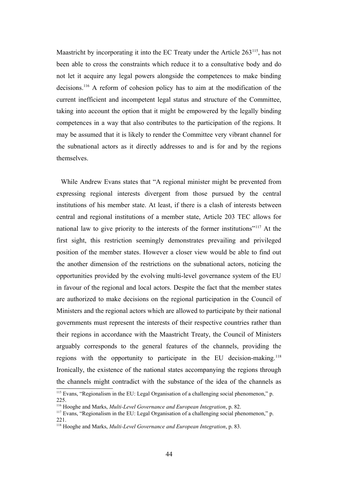Maastricht by incorporating it into the EC Treaty under the Article 263<sup>[115](#page-43-0)</sup>, has not been able to cross the constraints which reduce it to a consultative body and do not let it acquire any legal powers alongside the competences to make binding decisions.[116](#page-43-1) A reform of cohesion policy has to aim at the modification of the current inefficient and incompetent legal status and structure of the Committee, taking into account the option that it might be empowered by the legally binding competences in a way that also contributes to the participation of the regions. It may be assumed that it is likely to render the Committee very vibrant channel for the subnational actors as it directly addresses to and is for and by the regions themselves.

 While Andrew Evans states that "A regional minister might be prevented from expressing regional interests divergent from those pursued by the central institutions of his member state. At least, if there is a clash of interests between central and regional institutions of a member state, Article 203 TEC allows for national law to give priority to the interests of the former institutions"[117](#page-43-2) At the first sight, this restriction seemingly demonstrates prevailing and privileged position of the member states. However a closer view would be able to find out the another dimension of the restrictions on the subnational actors, noticing the opportunities provided by the evolving multi-level governance system of the EU in favour of the regional and local actors. Despite the fact that the member states are authorized to make decisions on the regional participation in the Council of Ministers and the regional actors which are allowed to participate by their national governments must represent the interests of their respective countries rather than their regions in accordance with the Maastricht Treaty, the Council of Ministers arguably corresponds to the general features of the channels, providing the regions with the opportunity to participate in the EU decision-making.<sup>[118](#page-43-3)</sup> Ironically, the existence of the national states accompanying the regions through the channels might contradict with the substance of the idea of the channels as

<span id="page-43-0"></span><sup>&</sup>lt;sup>115</sup> Evans, "Regionalism in the EU: Legal Organisation of a challenging social phenomenon," p. 225.

<span id="page-43-1"></span><sup>116</sup> Hooghe and Marks, *Multi-Level Governance and European Integration*, p. 82.

<span id="page-43-2"></span><sup>&</sup>lt;sup>117</sup> Evans, "Regionalism in the EU: Legal Organisation of a challenging social phenomenon," p. 221.

<span id="page-43-3"></span><sup>118</sup> Hooghe and Marks, *Multi-Level Governance and European Integration*, p. 83.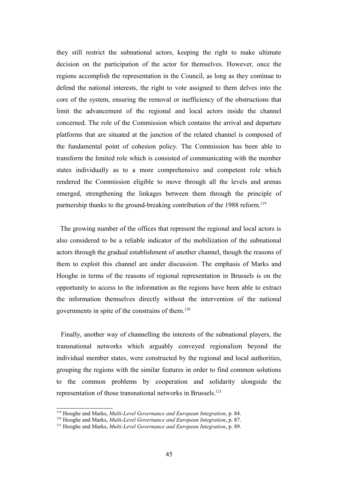they still restrict the subnational actors, keeping the right to make ultimate decision on the participation of the actor for themselves. However, once the regions accomplish the representation in the Council, as long as they continue to defend the national interests, the right to vote assigned to them delves into the core of the system, ensuring the removal or inefficiency of the obstructions that limit the advancement of the regional and local actors inside the channel concerned. The role of the Commission which contains the arrival and departure platforms that are situated at the junction of the related channel is composed of the fundamental point of cohesion policy. The Commission has been able to transform the limited role which is consisted of communicating with the member states individually as to a more comprehensive and competent role which rendered the Commission eligible to move through all the levels and arenas emerged, strengthening the linkages between them through the principle of partnership thanks to the ground-breaking contribution of the 1988 reform.<sup>[119](#page-44-0)</sup>

 The growing number of the offices that represent the regional and local actors is also considered to be a reliable indicator of the mobilization of the subnational actors through the gradual establishment of another channel, though the reasons of them to exploit this channel are under discussion. The emphasis of Marks and Hooghe in terms of the reasons of regional representation in Brussels is on the opportunity to access to the information as the regions have been able to extract the information themselves directly without the intervention of the national governments in spite of the constrains of them.[120](#page-44-1)

 Finally, another way of channelling the interests of the subnational players, the transnational networks which arguably conveyed regionalism beyond the individual member states, were constructed by the regional and local authorities, grouping the regions with the similar features in order to find common solutions to the common problems by cooperation and solidarity alongside the representation of those transnational networks in Brussels.<sup>[121](#page-44-2)</sup>

<span id="page-44-0"></span><sup>119</sup> Hooghe and Marks, *Multi-Level Governance and European Integration*, p. 84.

<span id="page-44-1"></span><sup>120</sup> Hooghe and Marks, *Multi-Level Governance and European Integration*, p. 87.

<span id="page-44-2"></span><sup>121</sup> Hooghe and Marks, *Multi-Level Governance and European Integration*, p. 89.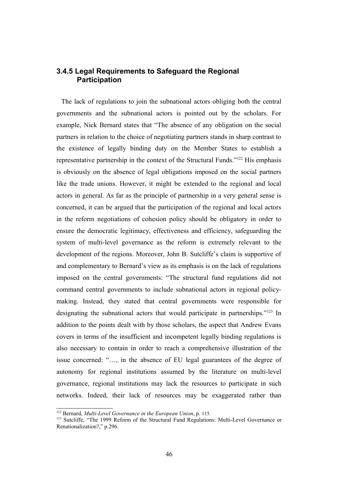### **3.4.5 Legal Requirements to Safeguard the Regional Participation**

 The lack of regulations to join the subnational actors obliging both the central governments and the subnational actors is pointed out by the scholars. For example, Nick Bernard states that "The absence of any obligation on the social partners in relation to the choice of negotiating partners stands in sharp contrast to the existence of legally binding duty on the Member States to establish a representative partnership in the context of the Structural Funds."[122](#page-45-0) His emphasis is obviously on the absence of legal obligations imposed on the social partners like the trade unions. However, it might be extended to the regional and local actors in general. As far as the principle of partnership in a very general sense is concerned, it can be argued that the participation of the regional and local actors in the reform negotiations of cohesion policy should be obligatory in order to ensure the democratic legitimacy, effectiveness and efficiency, safeguarding the system of multi-level governance as the reform is extremely relevant to the development of the regions. Moreover, John B. Sutcliffe's claim is supportive of and complementary to Bernard's view as its emphasis is on the lack of regulations imposed on the central governments: "The structural fund regulations did not command central governments to include subnational actors in regional policymaking. Instead, they stated that central governments were responsible for designating the subnational actors that would participate in partnerships."[123](#page-45-1) In addition to the points dealt with by those scholars, the aspect that Andrew Evans covers in terms of the insufficient and incompetent legally binding regulations is also necessary to contain in order to reach a comprehensive illustration of the issue concerned: "…, in the absence of EU legal guarantees of the degree of autonomy for regional institutions assumed by the literature on multi-level governance, regional institutions may lack the resources to participate in such networks. Indeed, their lack of resources may be exaggerated rather than

<span id="page-45-0"></span><sup>122</sup> Bernard, *Multi-Level Governance in the European Union*, p. 115.

<span id="page-45-1"></span><sup>&</sup>lt;sup>123</sup> Sutcliffe, "The 1999 Reform of the Structural Fund Regulations: Multi-Level Governance or Renationalization?," p.296.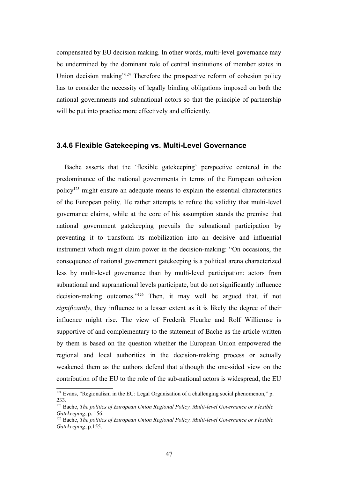compensated by EU decision making. In other words, multi-level governance may be undermined by the dominant role of central institutions of member states in Union decision making"<sup>[124](#page-46-0)</sup> Therefore the prospective reform of cohesion policy has to consider the necessity of legally binding obligations imposed on both the national governments and subnational actors so that the principle of partnership will be put into practice more effectively and efficiently.

#### **3.4.6 Flexible Gatekeeping vs. Multi-Level Governance**

 Bache asserts that the 'flexible gatekeeping' perspective centered in the predominance of the national governments in terms of the European cohesion policy[125](#page-46-1) might ensure an adequate means to explain the essential characteristics of the European polity. He rather attempts to refute the validity that multi-level governance claims, while at the core of his assumption stands the premise that national government gatekeeping prevails the subnational participation by preventing it to transform its mobilization into an decisive and influential instrument which might claim power in the decision-making: "On occasions, the consequence of national government gatekeeping is a political arena characterized less by multi-level governance than by multi-level participation: actors from subnational and supranational levels participate, but do not significantly influence decision-making outcomes."[126](#page-46-2) Then, it may well be argued that, if not *significantly*, they influence to a lesser extent as it is likely the degree of their influence might rise. The view of Frederik Fleurke and Rolf Williemse is supportive of and complementary to the statement of Bache as the article written by them is based on the question whether the European Union empowered the regional and local authorities in the decision-making process or actually weakened them as the authors defend that although the one-sided view on the contribution of the EU to the role of the sub-national actors is widespread, the EU

<span id="page-46-0"></span><sup>&</sup>lt;sup>124</sup> Evans, "Regionalism in the EU: Legal Organisation of a challenging social phenomenon," p. 233.

<span id="page-46-1"></span><sup>125</sup> Bache, *The politics of European Union Regional Policy, Multi-level Governance or Flexible Gatekeeping*, p. 156.

<span id="page-46-2"></span><sup>126</sup> Bache, *The politics of European Union Regional Policy, Multi-level Governance or Flexible Gatekeeping*, p.155.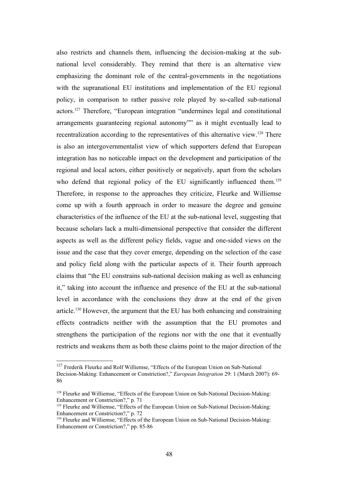also restricts and channels them, influencing the decision-making at the subnational level considerably. They remind that there is an alternative view emphasizing the dominant role of the central-governments in the negotiations with the supranational EU institutions and implementation of the EU regional policy, in comparison to rather passive role played by so-called sub-national actors.[127](#page-47-0) Therefore, "European integration "undermines legal and constitutional arrangements guaranteeing regional autonomy"" as it might eventually lead to recentralization according to the representatives of this alternative view.<sup>[128](#page-47-1)</sup> There is also an intergovernmentalist view of which supporters defend that European integration has no noticeable impact on the development and participation of the regional and local actors, either positively or negatively, apart from the scholars who defend that regional policy of the EU significantly influenced them.<sup>[129](#page-47-2)</sup> Therefore, in response to the approaches they criticize, Fleurke and Williemse come up with a fourth approach in order to measure the degree and genuine characteristics of the influence of the EU at the sub-national level, suggesting that because scholars lack a multi-dimensional perspective that consider the different aspects as well as the different policy fields, vague and one-sided views on the issue and the case that they cover emerge, depending on the selection of the case and policy field along with the particular aspects of it. Their fourth approach claims that "the EU constrains sub-national decision making as well as enhancing it," taking into account the influence and presence of the EU at the sub-national level in accordance with the conclusions they draw at the end of the given article.[130](#page-47-3) However, the argument that the EU has both enhancing and constraining effects contradicts neither with the assumption that the EU promotes and strengthens the participation of the regions nor with the one that it eventually restricts and weakens them as both these claims point to the major direction of the

<span id="page-47-0"></span><sup>&</sup>lt;sup>127</sup> Frederik Fleurke and Rolf Williemse, "Effects of the European Union on Sub-National Decision-Making: Enhancement or Constriction?," *European Integration* 29: 1 (March 2007): 69- 86

<span id="page-47-1"></span><sup>&</sup>lt;sup>128</sup> Fleurke and Williemse, "Effects of the European Union on Sub-National Decision-Making: Enhancement or Constriction?," p. 71

<span id="page-47-2"></span><sup>&</sup>lt;sup>129</sup> Fleurke and Williemse, "Effects of the European Union on Sub-National Decision-Making: Enhancement or Constriction?," p. 72

<span id="page-47-3"></span><sup>130</sup> Fleurke and Williemse, "Effects of the European Union on Sub-National Decision-Making: Enhancement or Constriction?," pp. 85-86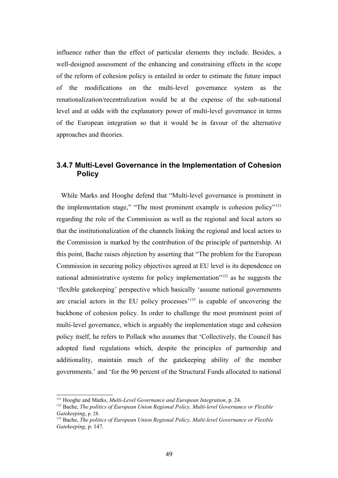influence rather than the effect of particular elements they include. Besides, a well-designed assessment of the enhancing and constraining effects in the scope of the reform of cohesion policy is entailed in order to estimate the future impact of the modifications on the multi-level governance system as the renationalization/recentralization would be at the expense of the sub-national level and at odds with the explanatory power of multi-level governance in terms of the European integration so that it would be in favour of the alternative approaches and theories.

### **3.4.7 Multi-Level Governance in the Implementation of Cohesion Policy**

 While Marks and Hooghe defend that "Multi-level governance is prominent in the implementation stage," "The most prominent example is cohesion policy"[131](#page-48-0) regarding the role of the Commission as well as the regional and local actors so that the institutionalization of the channels linking the regional and local actors to the Commission is marked by the contribution of the principle of partnership. At this point, Bache raises objection by asserting that "The problem for the European Commission in securing policy objectives agreed at EU level is its dependence on national administrative systems for policy implementation"[132](#page-48-1) as he suggests the 'flexible gatekeeping' perspective which basically 'assume national governments are crucial actors in the EU policy processes<sup> $133$ </sup> is capable of uncovering the backbone of cohesion policy. In order to challenge the most prominent point of multi-level governance, which is arguably the implementation stage and cohesion policy itself, he refers to Pollack who assumes that 'Collectively, the Council has adopted fund regulations which, despite the principles of partnership and additionality, maintain much of the gatekeeping ability of the member governments.' and 'for the 90 percent of the Structural Funds allocated to national

<span id="page-48-0"></span><sup>131</sup> Hooghe and Marks, *Multi-Level Governance and European Integration*, p. 24.

<span id="page-48-1"></span><sup>&</sup>lt;sup>132</sup> Bache, *The politics of European Union Regional Policy, Multi-level Governance or Flexible Gatekeeping*, p. 28.

<span id="page-48-2"></span><sup>133</sup> Bache, *The politics of European Union Regional Policy, Multi-level Governance or Flexible Gatekeeping*, p. 147.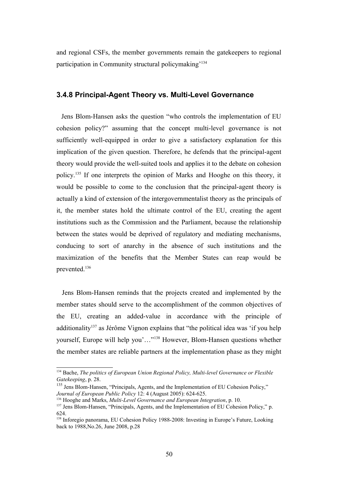and regional CSFs, the member governments remain the gatekeepers to regional participation in Community structural policymaking'[134](#page-49-0)

#### **3.4.8 Principal-Agent Theory vs. Multi-Level Governance**

 Jens Blom-Hansen asks the question "who controls the implementation of EU cohesion policy?" assuming that the concept multi-level governance is not sufficiently well-equipped in order to give a satisfactory explanation for this implication of the given question. Therefore, he defends that the principal-agent theory would provide the well-suited tools and applies it to the debate on cohesion policy.[135](#page-49-1) If one interprets the opinion of Marks and Hooghe on this theory, it would be possible to come to the conclusion that the principal-agent theory is actually a kind of extension of the intergovernmentalist theory as the principals of it, the member states hold the ultimate control of the EU, creating the agent institutions such as the Commission and the Parliament, because the relationship between the states would be deprived of regulatory and mediating mechanisms, conducing to sort of anarchy in the absence of such institutions and the maximization of the benefits that the Member States can reap would be prevented.<sup>[136](#page-49-2)</sup>

 Jens Blom-Hansen reminds that the projects created and implemented by the member states should serve to the accomplishment of the common objectives of the EU, creating an added-value in accordance with the principle of additionality<sup>[137](#page-49-3)</sup> as Jérôme Vignon explains that "the political idea was 'if you help yourself, Europe will help you'…"[138](#page-49-4) However, Blom-Hansen questions whether the member states are reliable partners at the implementation phase as they might

<span id="page-49-0"></span><sup>134</sup> Bache, *The politics of European Union Regional Policy, Multi-level Governance or Flexible Gatekeeping*, p. 28.

<span id="page-49-1"></span><sup>&</sup>lt;sup>135</sup> Jens Blom-Hansen, "Principals, Agents, and the Implementation of EU Cohesion Policy," *Journal of European Public Policy* 12: 4 (August 2005): 624-625.

<span id="page-49-2"></span><sup>136</sup> Hooghe and Marks, *Multi-Level Governance and European Integration*, p. 10.

<span id="page-49-3"></span><sup>&</sup>lt;sup>137</sup> Jens Blom-Hansen, "Principals, Agents, and the Implementation of EU Cohesion Policy," p. 624.

<span id="page-49-4"></span><sup>138</sup> Inforegio panorama, EU Cohesion Policy 1988-2008: Investing in Europe's Future, Looking back to 1988,No.26, June 2008, p.28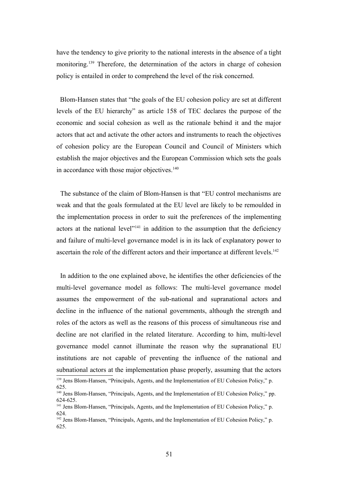have the tendency to give priority to the national interests in the absence of a tight monitoring.[139](#page-50-0) Therefore, the determination of the actors in charge of cohesion policy is entailed in order to comprehend the level of the risk concerned.

 Blom-Hansen states that "the goals of the EU cohesion policy are set at different levels of the EU hierarchy" as article 158 of TEC declares the purpose of the economic and social cohesion as well as the rationale behind it and the major actors that act and activate the other actors and instruments to reach the objectives of cohesion policy are the European Council and Council of Ministers which establish the major objectives and the European Commission which sets the goals in accordance with those major objectives.<sup>[140](#page-50-1)</sup>

 The substance of the claim of Blom-Hansen is that "EU control mechanisms are weak and that the goals formulated at the EU level are likely to be remoulded in the implementation process in order to suit the preferences of the implementing actors at the national level $v<sup>141</sup>$  $v<sup>141</sup>$  $v<sup>141</sup>$  in addition to the assumption that the deficiency and failure of multi-level governance model is in its lack of explanatory power to ascertain the role of the different actors and their importance at different levels.<sup>[142](#page-50-3)</sup>

 In addition to the one explained above, he identifies the other deficiencies of the multi-level governance model as follows: The multi-level governance model assumes the empowerment of the sub-national and supranational actors and decline in the influence of the national governments, although the strength and roles of the actors as well as the reasons of this process of simultaneous rise and decline are not clarified in the related literature. According to him, multi-level governance model cannot illuminate the reason why the supranational EU institutions are not capable of preventing the influence of the national and subnational actors at the implementation phase properly, assuming that the actors

<span id="page-50-0"></span><sup>139</sup> Jens Blom-Hansen, "Principals, Agents, and the Implementation of EU Cohesion Policy," p. 625.

<span id="page-50-1"></span><sup>&</sup>lt;sup>140</sup> Jens Blom-Hansen, "Principals, Agents, and the Implementation of EU Cohesion Policy," pp. 624-625.

<span id="page-50-2"></span><sup>&</sup>lt;sup>141</sup> Jens Blom-Hansen, "Principals, Agents, and the Implementation of EU Cohesion Policy," p. 624.

<span id="page-50-3"></span><sup>&</sup>lt;sup>142</sup> Jens Blom-Hansen, "Principals, Agents, and the Implementation of EU Cohesion Policy," p. 625.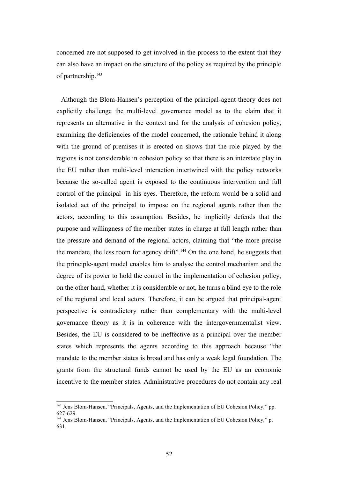concerned are not supposed to get involved in the process to the extent that they can also have an impact on the structure of the policy as required by the principle of partnership.<sup>[143](#page-51-0)</sup>

 Although the Blom-Hansen's perception of the principal-agent theory does not explicitly challenge the multi-level governance model as to the claim that it represents an alternative in the context and for the analysis of cohesion policy, examining the deficiencies of the model concerned, the rationale behind it along with the ground of premises it is erected on shows that the role played by the regions is not considerable in cohesion policy so that there is an interstate play in the EU rather than multi-level interaction intertwined with the policy networks because the so-called agent is exposed to the continuous intervention and full control of the principal in his eyes. Therefore, the reform would be a solid and isolated act of the principal to impose on the regional agents rather than the actors, according to this assumption. Besides, he implicitly defends that the purpose and willingness of the member states in charge at full length rather than the pressure and demand of the regional actors, claiming that "the more precise the mandate, the less room for agency drift".<sup>[144](#page-51-1)</sup> On the one hand, he suggests that the principle-agent model enables him to analyse the control mechanism and the degree of its power to hold the control in the implementation of cohesion policy, on the other hand, whether it is considerable or not, he turns a blind eye to the role of the regional and local actors. Therefore, it can be argued that principal-agent perspective is contradictory rather than complementary with the multi-level governance theory as it is in coherence with the intergovernmentalist view. Besides, the EU is considered to be ineffective as a principal over the member states which represents the agents according to this approach because "the mandate to the member states is broad and has only a weak legal foundation. The grants from the structural funds cannot be used by the EU as an economic incentive to the member states. Administrative procedures do not contain any real

<span id="page-51-0"></span><sup>&</sup>lt;sup>143</sup> Jens Blom-Hansen, "Principals, Agents, and the Implementation of EU Cohesion Policy," pp. 627-629.

<span id="page-51-1"></span><sup>&</sup>lt;sup>144</sup> Jens Blom-Hansen, "Principals, Agents, and the Implementation of EU Cohesion Policy," p. 631.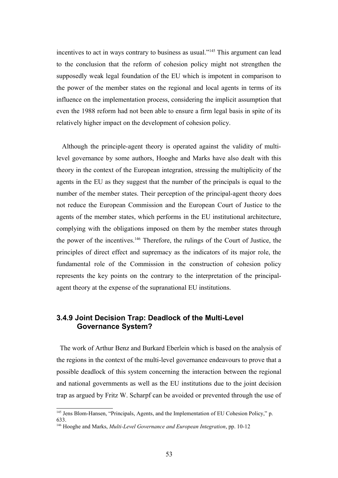incentives to act in ways contrary to business as usual."[145](#page-52-0) This argument can lead to the conclusion that the reform of cohesion policy might not strengthen the supposedly weak legal foundation of the EU which is impotent in comparison to the power of the member states on the regional and local agents in terms of its influence on the implementation process, considering the implicit assumption that even the 1988 reform had not been able to ensure a firm legal basis in spite of its relatively higher impact on the development of cohesion policy.

 Although the principle-agent theory is operated against the validity of multilevel governance by some authors, Hooghe and Marks have also dealt with this theory in the context of the European integration, stressing the multiplicity of the agents in the EU as they suggest that the number of the principals is equal to the number of the member states. Their perception of the principal-agent theory does not reduce the European Commission and the European Court of Justice to the agents of the member states, which performs in the EU institutional architecture, complying with the obligations imposed on them by the member states through the power of the incentives.[146](#page-52-1) Therefore, the rulings of the Court of Justice, the principles of direct effect and supremacy as the indicators of its major role, the fundamental role of the Commission in the construction of cohesion policy represents the key points on the contrary to the interpretation of the principalagent theory at the expense of the supranational EU institutions.

### **3.4.9 Joint Decision Trap: Deadlock of the Multi-Level Governance System?**

 The work of Arthur Benz and Burkard Eberlein which is based on the analysis of the regions in the context of the multi-level governance endeavours to prove that a possible deadlock of this system concerning the interaction between the regional and national governments as well as the EU institutions due to the joint decision trap as argued by Fritz W. Scharpf can be avoided or prevented through the use of

<span id="page-52-0"></span><sup>&</sup>lt;sup>145</sup> Jens Blom-Hansen, "Principals, Agents, and the Implementation of EU Cohesion Policy," p. 633.

<span id="page-52-1"></span><sup>146</sup> Hooghe and Marks, *Multi-Level Governance and European Integration*, pp. 10-12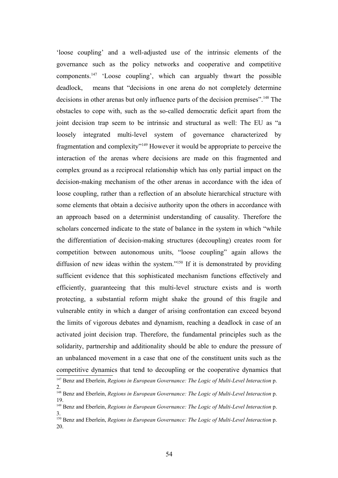'loose coupling' and a well-adjusted use of the intrinsic elements of the governance such as the policy networks and cooperative and competitive components.[147](#page-53-0) 'Loose coupling', which can arguably thwart the possible deadlock, means that "decisions in one arena do not completely determine decisions in other arenas but only influence parts of the decision premises".<sup>[148](#page-53-1)</sup> The obstacles to cope with, such as the so-called democratic deficit apart from the joint decision trap seem to be intrinsic and structural as well: The EU as "a loosely integrated multi-level system of governance characterized by fragmentation and complexity"[149](#page-53-2) However it would be appropriate to perceive the interaction of the arenas where decisions are made on this fragmented and complex ground as a reciprocal relationship which has only partial impact on the decision-making mechanism of the other arenas in accordance with the idea of loose coupling, rather than a reflection of an absolute hierarchical structure with some elements that obtain a decisive authority upon the others in accordance with an approach based on a determinist understanding of causality. Therefore the scholars concerned indicate to the state of balance in the system in which "while the differentiation of decision-making structures (decoupling) creates room for competition between autonomous units, "loose coupling" again allows the diffusion of new ideas within the system."[150](#page-53-3) If it is demonstrated by providing sufficient evidence that this sophisticated mechanism functions effectively and efficiently, guaranteeing that this multi-level structure exists and is worth protecting, a substantial reform might shake the ground of this fragile and vulnerable entity in which a danger of arising confrontation can exceed beyond the limits of vigorous debates and dynamism, reaching a deadlock in case of an activated joint decision trap. Therefore, the fundamental principles such as the solidarity, partnership and additionality should be able to endure the pressure of an unbalanced movement in a case that one of the constituent units such as the competitive dynamics that tend to decoupling or the cooperative dynamics that

<span id="page-53-0"></span><sup>147</sup> Benz and Eberlein, *Regions in European Governance: The Logic of Multi-Level Interaction* p. 2.

<span id="page-53-1"></span><sup>148</sup> Benz and Eberlein, *Regions in European Governance: The Logic of Multi-Level Interaction* p. 19.

<span id="page-53-2"></span><sup>149</sup> Benz and Eberlein, *Regions in European Governance: The Logic of Multi-Level Interaction* p. 3.

<span id="page-53-3"></span><sup>150</sup> Benz and Eberlein, *Regions in European Governance: The Logic of Multi-Level Interaction* p. 20.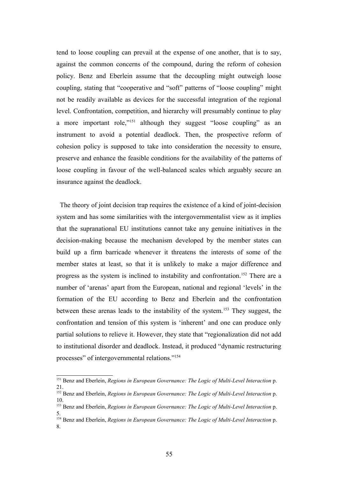tend to loose coupling can prevail at the expense of one another, that is to say, against the common concerns of the compound, during the reform of cohesion policy. Benz and Eberlein assume that the decoupling might outweigh loose coupling, stating that "cooperative and "soft" patterns of "loose coupling" might not be readily available as devices for the successful integration of the regional level. Confrontation, competition, and hierarchy will presumably continue to play a more important role,"[151](#page-54-0) although they suggest "loose coupling" as an instrument to avoid a potential deadlock. Then, the prospective reform of cohesion policy is supposed to take into consideration the necessity to ensure, preserve and enhance the feasible conditions for the availability of the patterns of loose coupling in favour of the well-balanced scales which arguably secure an insurance against the deadlock.

 The theory of joint decision trap requires the existence of a kind of joint-decision system and has some similarities with the intergovernmentalist view as it implies that the supranational EU institutions cannot take any genuine initiatives in the decision-making because the mechanism developed by the member states can build up a firm barricade whenever it threatens the interests of some of the member states at least, so that it is unlikely to make a major difference and progress as the system is inclined to instability and confrontation.[152](#page-54-1) There are a number of 'arenas' apart from the European, national and regional 'levels' in the formation of the EU according to Benz and Eberlein and the confrontation between these arenas leads to the instability of the system.[153](#page-54-2) They suggest, the confrontation and tension of this system is 'inherent' and one can produce only partial solutions to relieve it. However, they state that "regionalization did not add to institutional disorder and deadlock. Instead, it produced "dynamic restructuring processes" of intergovernmental relations."[154](#page-54-3)

<span id="page-54-0"></span><sup>151</sup> Benz and Eberlein, *Regions in European Governance: The Logic of Multi-Level Interaction* p. 21.

<span id="page-54-1"></span><sup>152</sup> Benz and Eberlein, *Regions in European Governance: The Logic of Multi-Level Interaction* p. 10.

<span id="page-54-2"></span><sup>153</sup> Benz and Eberlein, *Regions in European Governance: The Logic of Multi-Level Interaction* p. 5.

<span id="page-54-3"></span><sup>154</sup> Benz and Eberlein, *Regions in European Governance: The Logic of Multi-Level Interaction* p. 8.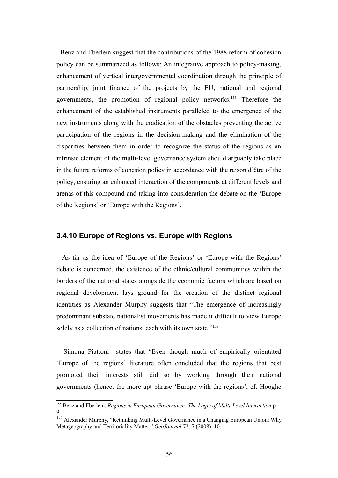Benz and Eberlein suggest that the contributions of the 1988 reform of cohesion policy can be summarized as follows: An integrative approach to policy-making, enhancement of vertical intergovernmental coordination through the principle of partnership, joint finance of the projects by the EU, national and regional governments, the promotion of regional policy networks.[155](#page-55-0) Therefore the enhancement of the established instruments paralleled to the emergence of the new instruments along with the eradication of the obstacles preventing the active participation of the regions in the decision-making and the elimination of the disparities between them in order to recognize the status of the regions as an intrinsic element of the multi-level governance system should arguably take place in the future reforms of cohesion policy in accordance with the raison d'être of the policy, ensuring an enhanced interaction of the components at different levels and arenas of this compound and taking into consideration the debate on the 'Europe of the Regions' or 'Europe with the Regions'.

#### **3.4.10 Europe of Regions vs. Europe with Regions**

 As far as the idea of 'Europe of the Regions' or 'Europe with the Regions' debate is concerned, the existence of the ethnic/cultural communities within the borders of the national states alongside the economic factors which are based on regional development lays ground for the creation of the distinct regional identities as Alexander Murphy suggests that "The emergence of increasingly predominant substate nationalist movements has made it difficult to view Europe solely as a collection of nations, each with its own state."<sup>[156](#page-55-1)</sup>

 Simona Piattoni states that "Even though much of empirically orientated 'Europe of the regions' literature often concluded that the regions that best promoted their interests still did so by working through their national governments (hence, the more apt phrase 'Europe with the regions', cf. Hooghe

<span id="page-55-0"></span><sup>155</sup> Benz and Eberlein, *Regions in European Governance: The Logic of Multi-Level Interaction* p. 9.

<span id="page-55-1"></span><sup>&</sup>lt;sup>156</sup> Alexander Murphy, "Rethinking Multi-Level Governance in a Changing European Union: Why Metageography and Territoriality Matter," *GeoJournal* 72: 7 (2008): 10.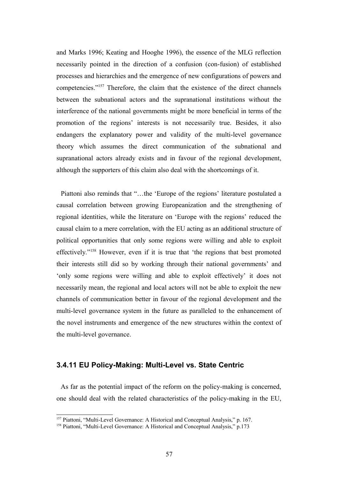and Marks 1996; Keating and Hooghe 1996), the essence of the MLG reflection necessarily pointed in the direction of a confusion (con-fusion) of established processes and hierarchies and the emergence of new configurations of powers and competencies."[157](#page-56-0) Therefore, the claim that the existence of the direct channels between the subnational actors and the supranational institutions without the interference of the national governments might be more beneficial in terms of the promotion of the regions' interests is not necessarily true. Besides, it also endangers the explanatory power and validity of the multi-level governance theory which assumes the direct communication of the subnational and supranational actors already exists and in favour of the regional development, although the supporters of this claim also deal with the shortcomings of it.

 Piattoni also reminds that "…the 'Europe of the regions' literature postulated a causal correlation between growing Europeanization and the strengthening of regional identities, while the literature on 'Europe with the regions' reduced the causal claim to a mere correlation, with the EU acting as an additional structure of political opportunities that only some regions were willing and able to exploit effectively."[158](#page-56-1) However, even if it is true that 'the regions that best promoted their interests still did so by working through their national governments' and 'only some regions were willing and able to exploit effectively' it does not necessarily mean, the regional and local actors will not be able to exploit the new channels of communication better in favour of the regional development and the multi-level governance system in the future as paralleled to the enhancement of the novel instruments and emergence of the new structures within the context of the multi-level governance.

### **3.4.11 EU Policy-Making: Multi-Level vs. State Centric**

 As far as the potential impact of the reform on the policy-making is concerned, one should deal with the related characteristics of the policy-making in the EU,

<span id="page-56-0"></span><sup>157</sup> Piattoni, "Multi-Level Governance: A Historical and Conceptual Analysis," p. 167.

<span id="page-56-1"></span><sup>&</sup>lt;sup>158</sup> Piattoni, "Multi-Level Governance: A Historical and Conceptual Analysis," p.173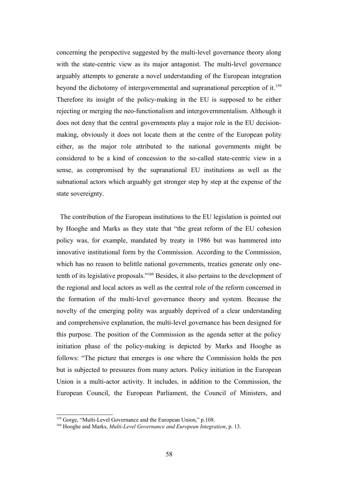concerning the perspective suggested by the multi-level governance theory along with the state-centric view as its major antagonist. The multi-level governance arguably attempts to generate a novel understanding of the European integration beyond the dichotomy of intergovernmental and supranational perception of it.<sup>[159](#page-57-0)</sup> Therefore its insight of the policy-making in the EU is supposed to be either rejecting or merging the neo-functionalism and intergovernmentalism. Although it does not deny that the central governments play a major role in the EU decisionmaking, obviously it does not locate them at the centre of the European polity either, as the major role attributed to the national governments might be considered to be a kind of concession to the so-called state-centric view in a sense, as compromised by the supranational EU institutions as well as the subnational actors which arguably get stronger step by step at the expense of the state sovereignty.

 The contribution of the European institutions to the EU legislation is pointed out by Hooghe and Marks as they state that "the great reform of the EU cohesion policy was, for example, mandated by treaty in 1986 but was hammered into innovative institutional form by the Commission. According to the Commission, which has no reason to belittle national governments, treaties generate only onetenth of its legislative proposals."[160](#page-57-1) Besides, it also pertains to the development of the regional and local actors as well as the central role of the reform concerned in the formation of the multi-level governance theory and system. Because the novelty of the emerging polity was arguably deprived of a clear understanding and comprehensive explanation, the multi-level governance has been designed for this purpose. The position of the Commission as the agenda setter at the policy initiation phase of the policy-making is depicted by Marks and Hooghe as follows: "The picture that emerges is one where the Commission holds the pen but is subjected to pressures from many actors. Policy initiation in the European Union is a multi-actor activity. It includes, in addition to the Commission, the European Council, the European Parliament, the Council of Ministers, and

<span id="page-57-0"></span><sup>&</sup>lt;sup>159</sup> Gorge, "Multi-Level Governance and the European Union," p.108.

<span id="page-57-1"></span><sup>160</sup> Hooghe and Marks, *Multi-Level Governance and European Integration*, p. 13.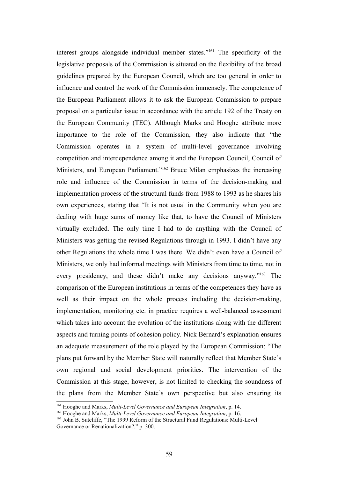interest groups alongside individual member states."[161](#page-58-0) The specificity of the legislative proposals of the Commission is situated on the flexibility of the broad guidelines prepared by the European Council, which are too general in order to influence and control the work of the Commission immensely. The competence of the European Parliament allows it to ask the European Commission to prepare proposal on a particular issue in accordance with the article 192 of the Treaty on the European Community (TEC). Although Marks and Hooghe attribute more importance to the role of the Commission, they also indicate that "the Commission operates in a system of multi-level governance involving competition and interdependence among it and the European Council, Council of Ministers, and European Parliament."<sup>[162](#page-58-1)</sup> Bruce Milan emphasizes the increasing role and influence of the Commission in terms of the decision-making and implementation process of the structural funds from 1988 to 1993 as he shares his own experiences, stating that "It is not usual in the Community when you are dealing with huge sums of money like that, to have the Council of Ministers virtually excluded. The only time I had to do anything with the Council of Ministers was getting the revised Regulations through in 1993. I didn't have any other Regulations the whole time I was there. We didn't even have a Council of Ministers, we only had informal meetings with Ministers from time to time, not in every presidency, and these didn't make any decisions anyway."[163](#page-58-2) The comparison of the European institutions in terms of the competences they have as well as their impact on the whole process including the decision-making, implementation, monitoring etc. in practice requires a well-balanced assessment which takes into account the evolution of the institutions along with the different aspects and turning points of cohesion policy. Nick Bernard's explanation ensures an adequate measurement of the role played by the European Commission: "The plans put forward by the Member State will naturally reflect that Member State's own regional and social development priorities. The intervention of the Commission at this stage, however, is not limited to checking the soundness of the plans from the Member State's own perspective but also ensuring its

<span id="page-58-0"></span><sup>161</sup> Hooghe and Marks, *Multi-Level Governance and European Integration*, p. 14.

<span id="page-58-1"></span><sup>162</sup> Hooghe and Marks, *Multi-Level Governance and European Integration*, p. 16.

<span id="page-58-2"></span><sup>&</sup>lt;sup>163</sup> John B. Sutcliffe, "The 1999 Reform of the Structural Fund Regulations: Multi-Level Governance or Renationalization?," p. 300.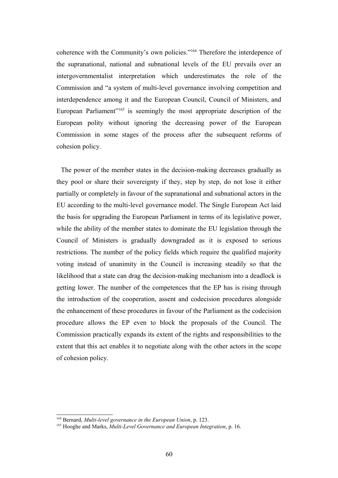coherence with the Community's own policies."[164](#page-59-0) Therefore the interdepence of the supranational, national and subnational levels of the EU prevails over an intergovernmentalist interpretation which underestimates the role of the Commission and "a system of multi-level governance involving competition and interdependence among it and the European Council, Council of Ministers, and European Parliament<sup>"[165](#page-59-1)</sup> is seemingly the most appropriate description of the European polity without ignoring the decreasing power of the European Commission in some stages of the process after the subsequent reforms of cohesion policy.

 The power of the member states in the decision-making decreases gradually as they pool or share their sovereignty if they, step by step, do not lose it either partially or completely in favour of the supranational and subnational actors in the EU according to the multi-level governance model. The Single European Act laid the basis for upgrading the European Parliament in terms of its legislative power, while the ability of the member states to dominate the EU legislation through the Council of Ministers is gradually downgraded as it is exposed to serious restrictions. The number of the policy fields which require the qualified majority voting instead of unanimity in the Council is increasing steadily so that the likelihood that a state can drag the decision-making mechanism into a deadlock is getting lower. The number of the competences that the EP has is rising through the introduction of the cooperation, assent and codecision procedures alongside the enhancement of these procedures in favour of the Parliament as the codecision procedure allows the EP even to block the proposals of the Council. The Commission practically expands its extent of the rights and responsibilities to the extent that this act enables it to negotiate along with the other actors in the scope of cohesion policy.

<span id="page-59-0"></span><sup>164</sup> Bernard, *Multi-level governance in the European Union*, p. 123.

<span id="page-59-1"></span><sup>165</sup> Hooghe and Marks, *Multi-Level Governance and European Integration*, p. 16.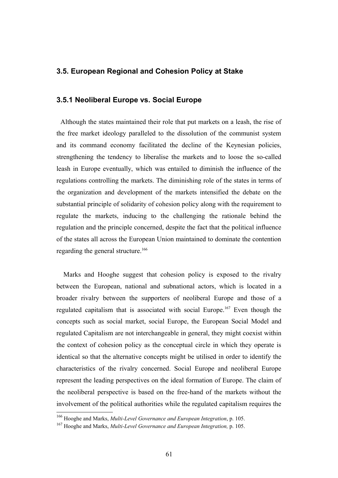#### **3.5. European Regional and Cohesion Policy at Stake**

#### **3.5.1 Neoliberal Europe vs. Social Europe**

 Although the states maintained their role that put markets on a leash, the rise of the free market ideology paralleled to the dissolution of the communist system and its command economy facilitated the decline of the Keynesian policies, strengthening the tendency to liberalise the markets and to loose the so-called leash in Europe eventually, which was entailed to diminish the influence of the regulations controlling the markets. The diminishing role of the states in terms of the organization and development of the markets intensified the debate on the substantial principle of solidarity of cohesion policy along with the requirement to regulate the markets, inducing to the challenging the rationale behind the regulation and the principle concerned, despite the fact that the political influence of the states all across the European Union maintained to dominate the contention regarding the general structure.<sup>[166](#page-60-0)</sup>

 Marks and Hooghe suggest that cohesion policy is exposed to the rivalry between the European, national and subnational actors, which is located in a broader rivalry between the supporters of neoliberal Europe and those of a regulated capitalism that is associated with social Europe.[167](#page-60-1) Even though the concepts such as social market, social Europe, the European Social Model and regulated Capitalism are not interchangeable in general, they might coexist within the context of cohesion policy as the conceptual circle in which they operate is identical so that the alternative concepts might be utilised in order to identify the characteristics of the rivalry concerned. Social Europe and neoliberal Europe represent the leading perspectives on the ideal formation of Europe. The claim of the neoliberal perspective is based on the free-hand of the markets without the involvement of the political authorities while the regulated capitalism requires the

<span id="page-60-0"></span><sup>166</sup> Hooghe and Marks, *Multi-Level Governance and European Integration*, p. 105.

<span id="page-60-1"></span><sup>167</sup> Hooghe and Marks, *Multi-Level Governance and European Integration,* p. 105.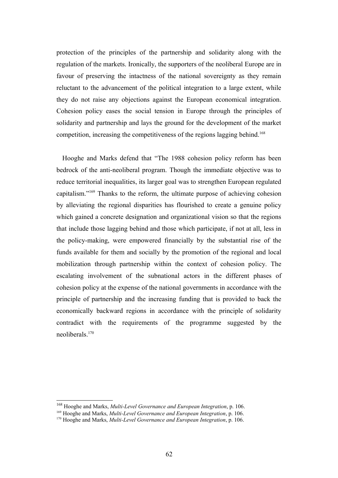protection of the principles of the partnership and solidarity along with the regulation of the markets. Ironically, the supporters of the neoliberal Europe are in favour of preserving the intactness of the national sovereignty as they remain reluctant to the advancement of the political integration to a large extent, while they do not raise any objections against the European economical integration. Cohesion policy eases the social tension in Europe through the principles of solidarity and partnership and lays the ground for the development of the market competition, increasing the competitiveness of the regions lagging behind.<sup>[168](#page-61-0)</sup>

 Hooghe and Marks defend that "The 1988 cohesion policy reform has been bedrock of the anti-neoliberal program. Though the immediate objective was to reduce territorial inequalities, its larger goal was to strengthen European regulated capitalism."[169](#page-61-1) Thanks to the reform, the ultimate purpose of achieving cohesion by alleviating the regional disparities has flourished to create a genuine policy which gained a concrete designation and organizational vision so that the regions that include those lagging behind and those which participate, if not at all, less in the policy-making, were empowered financially by the substantial rise of the funds available for them and socially by the promotion of the regional and local mobilization through partnership within the context of cohesion policy. The escalating involvement of the subnational actors in the different phases of cohesion policy at the expense of the national governments in accordance with the principle of partnership and the increasing funding that is provided to back the economically backward regions in accordance with the principle of solidarity contradict with the requirements of the programme suggested by the neoliberals.[170](#page-61-2)

<span id="page-61-0"></span><sup>168</sup> Hooghe and Marks, *Multi-Level Governance and European Integration*, p. 106.

<span id="page-61-1"></span><sup>169</sup> Hooghe and Marks, *Multi-Level Governance and European Integration*, p. 106.

<span id="page-61-2"></span><sup>170</sup> Hooghe and Marks, *Multi-Level Governance and European Integration*, p. 106.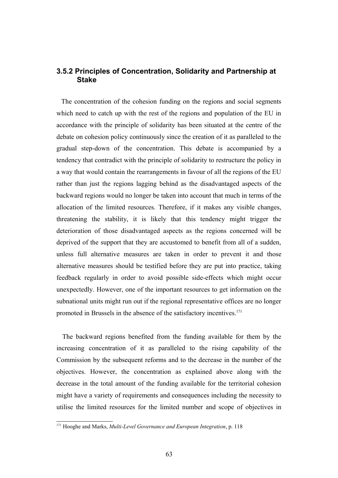### **3.5.2 Principles of Concentration, Solidarity and Partnership at Stake**

 The concentration of the cohesion funding on the regions and social segments which need to catch up with the rest of the regions and population of the EU in accordance with the principle of solidarity has been situated at the centre of the debate on cohesion policy continuously since the creation of it as paralleled to the gradual step-down of the concentration. This debate is accompanied by a tendency that contradict with the principle of solidarity to restructure the policy in a way that would contain the rearrangements in favour of all the regions of the EU rather than just the regions lagging behind as the disadvantaged aspects of the backward regions would no longer be taken into account that much in terms of the allocation of the limited resources. Therefore, if it makes any visible changes, threatening the stability, it is likely that this tendency might trigger the deterioration of those disadvantaged aspects as the regions concerned will be deprived of the support that they are accustomed to benefit from all of a sudden, unless full alternative measures are taken in order to prevent it and those alternative measures should be testified before they are put into practice, taking feedback regularly in order to avoid possible side-effects which might occur unexpectedly. However, one of the important resources to get information on the subnational units might run out if the regional representative offices are no longer promoted in Brussels in the absence of the satisfactory incentives.<sup>[171](#page-62-0)</sup>

 The backward regions benefited from the funding available for them by the increasing concentration of it as paralleled to the rising capability of the Commission by the subsequent reforms and to the decrease in the number of the objectives. However, the concentration as explained above along with the decrease in the total amount of the funding available for the territorial cohesion might have a variety of requirements and consequences including the necessity to utilise the limited resources for the limited number and scope of objectives in

<span id="page-62-0"></span><sup>171</sup> Hooghe and Marks, *Multi-Level Governance and European Integration*, p. 118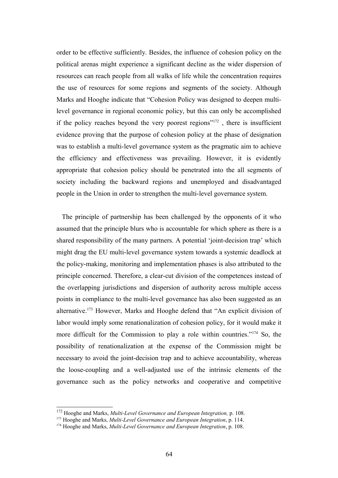order to be effective sufficiently. Besides, the influence of cohesion policy on the political arenas might experience a significant decline as the wider dispersion of resources can reach people from all walks of life while the concentration requires the use of resources for some regions and segments of the society. Although Marks and Hooghe indicate that "Cohesion Policy was designed to deepen multilevel governance in regional economic policy, but this can only be accomplished if the policy reaches beyond the very poorest regions" $172$ , there is insufficient evidence proving that the purpose of cohesion policy at the phase of designation was to establish a multi-level governance system as the pragmatic aim to achieve the efficiency and effectiveness was prevailing. However, it is evidently appropriate that cohesion policy should be penetrated into the all segments of society including the backward regions and unemployed and disadvantaged people in the Union in order to strengthen the multi-level governance system.

 The principle of partnership has been challenged by the opponents of it who assumed that the principle blurs who is accountable for which sphere as there is a shared responsibility of the many partners. A potential 'joint-decision trap' which might drag the EU multi-level governance system towards a systemic deadlock at the policy-making, monitoring and implementation phases is also attributed to the principle concerned. Therefore, a clear-cut division of the competences instead of the overlapping jurisdictions and dispersion of authority across multiple access points in compliance to the multi-level governance has also been suggested as an alternative.<sup>[173](#page-63-1)</sup> However, Marks and Hooghe defend that "An explicit division of labor would imply some renationalization of cohesion policy, for it would make it more difficult for the Commission to play a role within countries."[174](#page-63-2) So, the possibility of renationalization at the expense of the Commission might be necessary to avoid the joint-decision trap and to achieve accountability, whereas the loose-coupling and a well-adjusted use of the intrinsic elements of the governance such as the policy networks and cooperative and competitive

<span id="page-63-0"></span><sup>172</sup> Hooghe and Marks, *Multi-Level Governance and European Integration,* p. 108.

<span id="page-63-1"></span><sup>173</sup> Hooghe and Marks, *Multi-Level Governance and European Integration*, p. 114.

<span id="page-63-2"></span><sup>174</sup> Hooghe and Marks, *Multi-Level Governance and European Integration*, p. 108.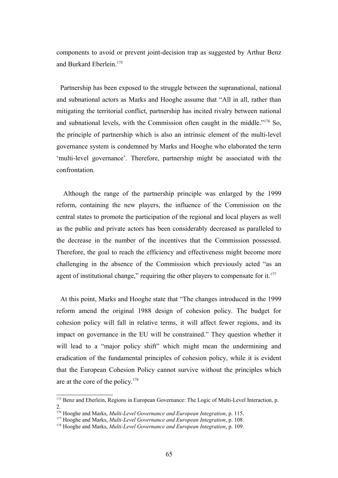components to avoid or prevent joint-decision trap as suggested by Arthur Benz and Burkard Eberlein.[175](#page-64-0)

 Partnership has been exposed to the struggle between the supranational, national and subnational actors as Marks and Hooghe assume that "All in all, rather than mitigating the territorial conflict, partnership has incited rivalry between national and subnational levels, with the Commission often caught in the middle."[176](#page-64-1) So, the principle of partnership which is also an intrinsic element of the multi-level governance system is condemned by Marks and Hooghe who elaborated the term 'multi-level governance'. Therefore, partnership might be associated with the confrontation.

 Although the range of the partnership principle was enlarged by the 1999 reform, containing the new players, the influence of the Commission on the central states to promote the participation of the regional and local players as well as the public and private actors has been considerably decreased as paralleled to the decrease in the number of the incentives that the Commission possessed. Therefore, the goal to reach the efficiency and effectiveness might become more challenging in the absence of the Commission which previously acted "as an agent of institutional change," requiring the other players to compensate for it.<sup>[177](#page-64-2)</sup>

 At this point, Marks and Hooghe state that "The changes introduced in the 1999 reform amend the original 1988 design of cohesion policy. The budget for cohesion policy will fall in relative terms, it will affect fewer regions, and its impact on governance in the EU will be constrained." They question whether it will lead to a "major policy shift" which might mean the undermining and eradication of the fundamental principles of cohesion policy, while it is evident that the European Cohesion Policy cannot survive without the principles which are at the core of the policy.[178](#page-64-3)

<span id="page-64-0"></span><sup>&</sup>lt;sup>175</sup> Benz and Eberlein, Regions in European Governance: The Logic of Multi-Level Interaction, p. 2.

<span id="page-64-1"></span><sup>176</sup> Hooghe and Marks, *Multi-Level Governance and European Integration*, p. 115.

<span id="page-64-2"></span><sup>177</sup> Hooghe and Marks, *Multi-Level Governance and European Integration*, p. 108.

<span id="page-64-3"></span><sup>178</sup> Hooghe and Marks, *Multi-Level Governance and European Integration*, p. 109.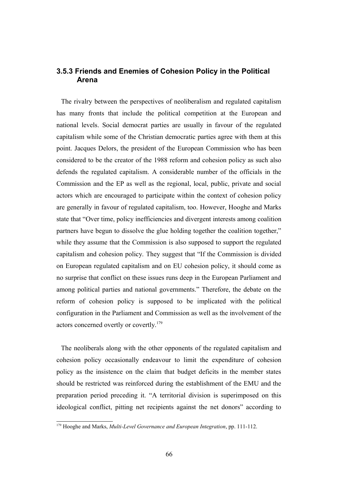### **3.5.3 Friends and Enemies of Cohesion Policy in the Political Arena**

 The rivalry between the perspectives of neoliberalism and regulated capitalism has many fronts that include the political competition at the European and national levels. Social democrat parties are usually in favour of the regulated capitalism while some of the Christian democratic parties agree with them at this point. Jacques Delors, the president of the European Commission who has been considered to be the creator of the 1988 reform and cohesion policy as such also defends the regulated capitalism. A considerable number of the officials in the Commission and the EP as well as the regional, local, public, private and social actors which are encouraged to participate within the context of cohesion policy are generally in favour of regulated capitalism, too. However, Hooghe and Marks state that "Over time, policy inefficiencies and divergent interests among coalition partners have begun to dissolve the glue holding together the coalition together," while they assume that the Commission is also supposed to support the regulated capitalism and cohesion policy. They suggest that "If the Commission is divided on European regulated capitalism and on EU cohesion policy, it should come as no surprise that conflict on these issues runs deep in the European Parliament and among political parties and national governments." Therefore, the debate on the reform of cohesion policy is supposed to be implicated with the political configuration in the Parliament and Commission as well as the involvement of the actors concerned overtly or covertly.<sup>[179](#page-65-0)</sup>

 The neoliberals along with the other opponents of the regulated capitalism and cohesion policy occasionally endeavour to limit the expenditure of cohesion policy as the insistence on the claim that budget deficits in the member states should be restricted was reinforced during the establishment of the EMU and the preparation period preceding it. "A territorial division is superimposed on this ideological conflict, pitting net recipients against the net donors" according to

<span id="page-65-0"></span><sup>179</sup> Hooghe and Marks, *Multi-Level Governance and European Integration*, pp. 111-112.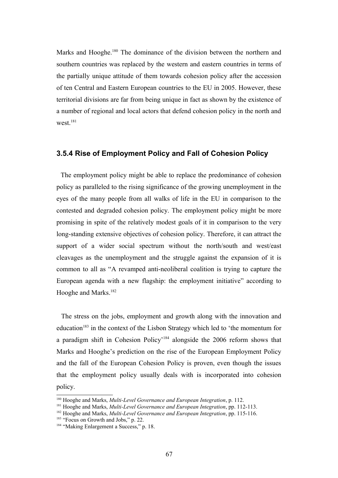Marks and Hooghe.<sup>[180](#page-66-0)</sup> The dominance of the division between the northern and southern countries was replaced by the western and eastern countries in terms of the partially unique attitude of them towards cohesion policy after the accession of ten Central and Eastern European countries to the EU in 2005. However, these territorial divisions are far from being unique in fact as shown by the existence of a number of regional and local actors that defend cohesion policy in the north and west<sup>[181](#page-66-1)</sup>

#### **3.5.4 Rise of Employment Policy and Fall of Cohesion Policy**

 The employment policy might be able to replace the predominance of cohesion policy as paralleled to the rising significance of the growing unemployment in the eyes of the many people from all walks of life in the EU in comparison to the contested and degraded cohesion policy. The employment policy might be more promising in spite of the relatively modest goals of it in comparison to the very long-standing extensive objectives of cohesion policy. Therefore, it can attract the support of a wider social spectrum without the north/south and west/east cleavages as the unemployment and the struggle against the expansion of it is common to all as "A revamped anti-neoliberal coalition is trying to capture the European agenda with a new flagship: the employment initiative" according to Hooghe and Marks.<sup>[182](#page-66-2)</sup>

 The stress on the jobs, employment and growth along with the innovation and education<sup>[183](#page-66-3)</sup> in the context of the Lisbon Strategy which led to 'the momentum for a paradigm shift in Cohesion Policy'[184](#page-66-4) alongside the 2006 reform shows that Marks and Hooghe's prediction on the rise of the European Employment Policy and the fall of the European Cohesion Policy is proven, even though the issues that the employment policy usually deals with is incorporated into cohesion policy.

<span id="page-66-0"></span><sup>180</sup> Hooghe and Marks, *Multi-Level Governance and European Integration*, p. 112.

<span id="page-66-1"></span><sup>181</sup> Hooghe and Marks, *Multi-Level Governance and European Integration*, pp. 112-113.

<span id="page-66-2"></span><sup>182</sup> Hooghe and Marks, *Multi-Level Governance and European Integration*, pp. 115-116.

<span id="page-66-3"></span><sup>&</sup>lt;sup>183</sup> "Focus on Growth and Jobs," p. 22.

<span id="page-66-4"></span><sup>&</sup>lt;sup>184</sup> "Making Enlargement a Success," p. 18.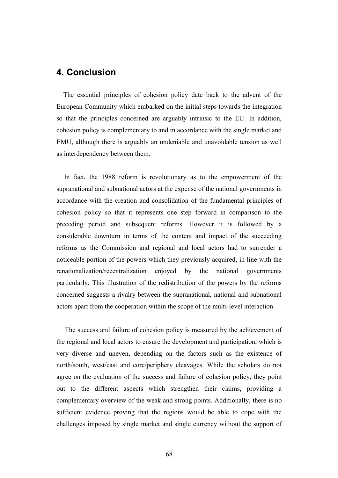## **4. Conclusion**

 The essential principles of cohesion policy date back to the advent of the European Community which embarked on the initial steps towards the integration so that the principles concerned are arguably intrinsic to the EU. In addition, cohesion policy is complementary to and in accordance with the single market and EMU, although there is arguably an undeniable and unavoidable tension as well as interdependency between them.

 In fact, the 1988 reform is revolutionary as to the empowerment of the supranational and subnational actors at the expense of the national governments in accordance with the creation and consolidation of the fundamental principles of cohesion policy so that it represents one step forward in comparison to the preceding period and subsequent reforms. However it is followed by a considerable downturn in terms of the content and impact of the succeeding reforms as the Commission and regional and local actors had to surrender a noticeable portion of the powers which they previously acquired, in line with the renationalization/recentralization enjoyed by the national governments particularly. This illustration of the redistribution of the powers by the reforms concerned suggests a rivalry between the supranational, national and subnational actors apart from the cooperation within the scope of the multi-level interaction.

 The success and failure of cohesion policy is measured by the achievement of the regional and local actors to ensure the development and participation, which is very diverse and uneven, depending on the factors such as the existence of north/south, west/east and core/periphery cleavages. While the scholars do not agree on the evaluation of the success and failure of cohesion policy, they point out to the different aspects which strengthen their claims, providing a complementary overview of the weak and strong points. Additionally, there is no sufficient evidence proving that the regions would be able to cope with the challenges imposed by single market and single currency without the support of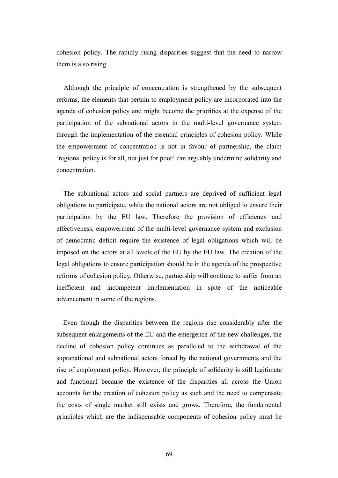cohesion policy. The rapidly rising disparities suggest that the need to narrow them is also rising.

 Although the principle of concentration is strengthened by the subsequent reforms, the elements that pertain to employment policy are incorporated into the agenda of cohesion policy and might become the priorities at the expense of the participation of the subnational actors in the multi-level governance system through the implementation of the essential principles of cohesion policy. While the empowerment of concentration is not in favour of partnership, the claim 'regional policy is for all, not just for poor' can arguably undermine solidarity and concentration.

 The subnational actors and social partners are deprived of sufficient legal obligations to participate, while the national actors are not obliged to ensure their participation by the EU law. Therefore the provision of efficiency and effectiveness, empowerment of the multi-level governance system and exclusion of democratic deficit require the existence of legal obligations which will be imposed on the actors at all levels of the EU by the EU law. The creation of the legal obligations to ensure participation should be in the agenda of the prospective reforms of cohesion policy. Otherwise, partnership will continue to suffer from an inefficient and incompetent implementation in spite of the noticeable advancement in some of the regions.

 Even though the disparities between the regions rise considerably after the subsequent enlargements of the EU and the emergence of the new challenges, the decline of cohesion policy continues as paralleled to the withdrawal of the supranational and subnational actors forced by the national governments and the rise of employment policy. However, the principle of solidarity is still legitimate and functional because the existence of the disparities all across the Union accounts for the creation of cohesion policy as such and the need to compensate the costs of single market still exists and grows. Therefore, the fundamental principles which are the indispensable components of cohesion policy must be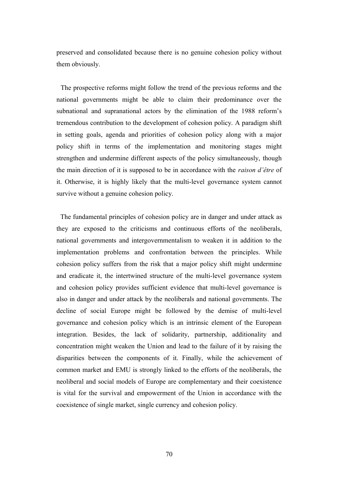preserved and consolidated because there is no genuine cohesion policy without them obviously.

 The prospective reforms might follow the trend of the previous reforms and the national governments might be able to claim their predominance over the subnational and supranational actors by the elimination of the 1988 reform's tremendous contribution to the development of cohesion policy. A paradigm shift in setting goals, agenda and priorities of cohesion policy along with a major policy shift in terms of the implementation and monitoring stages might strengthen and undermine different aspects of the policy simultaneously, though the main direction of it is supposed to be in accordance with the *raison d'être* of it. Otherwise, it is highly likely that the multi-level governance system cannot survive without a genuine cohesion policy.

 The fundamental principles of cohesion policy are in danger and under attack as they are exposed to the criticisms and continuous efforts of the neoliberals, national governments and intergovernmentalism to weaken it in addition to the implementation problems and confrontation between the principles. While cohesion policy suffers from the risk that a major policy shift might undermine and eradicate it, the intertwined structure of the multi-level governance system and cohesion policy provides sufficient evidence that multi-level governance is also in danger and under attack by the neoliberals and national governments. The decline of social Europe might be followed by the demise of multi-level governance and cohesion policy which is an intrinsic element of the European integration. Besides, the lack of solidarity, partnership, additionality and concentration might weaken the Union and lead to the failure of it by raising the disparities between the components of it. Finally, while the achievement of common market and EMU is strongly linked to the efforts of the neoliberals, the neoliberal and social models of Europe are complementary and their coexistence is vital for the survival and empowerment of the Union in accordance with the coexistence of single market, single currency and cohesion policy.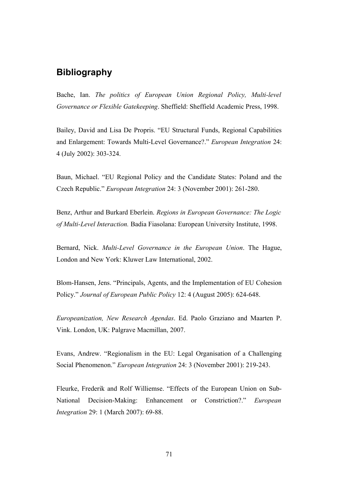# **Bibliography**

Bache, Ian. *The politics of European Union Regional Policy, Multi-level Governance or Flexible Gatekeeping*. Sheffield: Sheffield Academic Press, 1998.

Bailey, David and Lisa De Propris. "EU Structural Funds, Regional Capabilities and Enlargement: Towards Multi-Level Governance?." *European Integration* 24: 4 (July 2002): 303-324.

Baun, Michael. "EU Regional Policy and the Candidate States: Poland and the Czech Republic." *European Integration* 24: 3 (November 2001): 261-280.

Benz, Arthur and Burkard Eberlein. *Regions in European Governance: The Logic of Multi-Level Interaction.* Badia Fiasolana: European University Institute, 1998.

Bernard, Nick. *Multi-Level Governance in the European Union*. The Hague, London and New York: Kluwer Law International, 2002.

Blom-Hansen, Jens. "Principals, Agents, and the Implementation of EU Cohesion Policy." *Journal of European Public Policy* 12: 4 (August 2005): 624-648.

*Europeanization, New Research Agendas*. Ed. Paolo Graziano and Maarten P. Vink. London, UK: Palgrave Macmillan, 2007.

Evans, Andrew. "Regionalism in the EU: Legal Organisation of a Challenging Social Phenomenon." *European Integration* 24: 3 (November 2001): 219-243.

Fleurke, Frederik and Rolf Williemse. "Effects of the European Union on Sub-National Decision-Making: Enhancement or Constriction?." *European Integration* 29: 1 (March 2007): 69-88.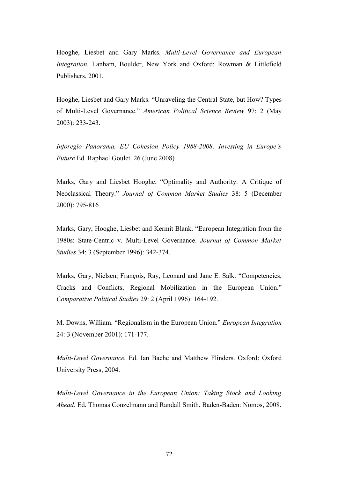Hooghe, Liesbet and Gary Marks. *Multi-Level Governance and European Integration.* Lanham, Boulder, New York and Oxford: Rowman & Littlefield Publishers, 2001.

Hooghe, Liesbet and Gary Marks. "Unraveling the Central State, but How? Types of Multi-Level Governance." *American Political Science Review* 97: 2 (May 2003): 233-243.

*Inforegio Panorama, EU Cohesion Policy 1988-2008: Investing in Europe's Future* Ed. Raphael Goulet. 26 (June 2008)

Marks, Gary and Liesbet Hooghe. "Optimality and Authority: A Critique of Neoclassical Theory." *Journal of Common Market Studies* 38: 5 (December 2000): 795-816

Marks, Gary, Hooghe, Liesbet and Kermit Blank. "European Integration from the 1980s: State-Centric v. Multi-Level Governance. *Journal of Common Market Studies* 34: 3 (September 1996): 342-374.

Marks, Gary, Nielsen, François, Ray, Leonard and Jane E. Salk. "Competencies, Cracks and Conflicts, Regional Mobilization in the European Union." *Comparative Political Studies* 29: 2 (April 1996): 164-192.

M. Downs, William. "Regionalism in the European Union." *European Integration* 24: 3 (November 2001): 171-177.

*Multi-Level Governance.* Ed. Ian Bache and Matthew Flinders. Oxford: Oxford University Press, 2004.

*Multi-Level Governance in the European Union: Taking Stock and Looking Ahead.* Ed. Thomas Conzelmann and Randall Smith. Baden-Baden: Nomos, 2008.